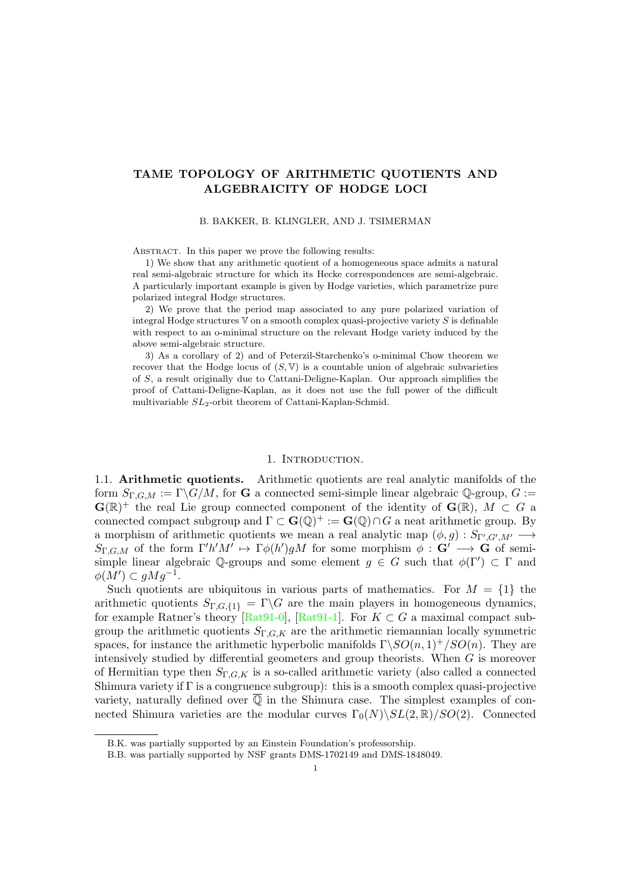# TAME TOPOLOGY OF ARITHMETIC QUOTIENTS AND ALGEBRAICITY OF HODGE LOCI

#### B. BAKKER, B. KLINGLER, AND J. TSIMERMAN

ABSTRACT. In this paper we prove the following results:

1) We show that any arithmetic quotient of a homogeneous space admits a natural real semi-algebraic structure for which its Hecke correspondences are semi-algebraic. A particularly important example is given by Hodge varieties, which parametrize pure polarized integral Hodge structures.

2) We prove that the period map associated to any pure polarized variation of integral Hodge structures  $V$  on a smooth complex quasi-projective variety  $S$  is definable with respect to an o-minimal structure on the relevant Hodge variety induced by the above semi-algebraic structure.

3) As a corollary of 2) and of Peterzil-Starchenko's o-minimal Chow theorem we recover that the Hodge locus of  $(S, V)$  is a countable union of algebraic subvarieties of S, a result originally due to Cattani-Deligne-Kaplan. Our approach simplifies the proof of Cattani-Deligne-Kaplan, as it does not use the full power of the difficult multivariable SL2-orbit theorem of Cattani-Kaplan-Schmid.

#### 1. INTRODUCTION.

1.1. Arithmetic quotients. Arithmetic quotients are real analytic manifolds of the form  $S_{\Gamma,G,M} := \Gamma \backslash G/M$ , for G a connected semi-simple linear algebraic Q-group,  $G :=$  $\mathbf{G}(\mathbb{R})^+$  the real Lie group connected component of the identity of  $\mathbf{G}(\mathbb{R})$ ,  $M \subset G$  a connected compact subgroup and  $\Gamma \subset \mathbf{G}(\mathbb{Q})^+ := \mathbf{G}(\mathbb{Q}) \cap G$  a neat arithmetic group. By a morphism of arithmetic quotients we mean a real analytic map  $(\phi, g) : S_{\Gamma', G', M'} \longrightarrow$  $S_{\Gamma,G,M}$  of the form  $\Gamma' h'M' \to \Gamma \phi(h') gM$  for some morphism  $\phi : G' \longrightarrow G$  of semisimple linear algebraic Q-groups and some element  $g \in G$  such that  $\phi(\Gamma') \subset \Gamma$  and  $\phi(M') \subset gMg^{-1}.$ 

Such quotients are ubiquitous in various parts of mathematics. For  $M = \{1\}$  the arithmetic quotients  $S_{\Gamma,G,\{1\}} = \Gamma \backslash G$  are the main players in homogeneous dynamics, for example Ratner's theory  $[Rat91-0]$ ,  $[Rat91-1]$ . For  $K\subset G$  a maximal compact subgroup the arithmetic quotients  $S_{\Gamma,G,K}$  are the arithmetic riemannian locally symmetric spaces, for instance the arithmetic hyperbolic manifolds  $\Gamma \backslash SO(n, 1)^+/SO(n)$ . They are intensively studied by differential geometers and group theorists. When  $G$  is moreover of Hermitian type then  $S_{\Gamma,G,K}$  is a so-called arithmetic variety (also called a connected Shimura variety if  $\Gamma$  is a congruence subgroup): this is a smooth complex quasi-projective variety, naturally defined over  $\overline{Q}$  in the Shimura case. The simplest examples of connected Shimura varieties are the modular curves  $\Gamma_0(N)\setminus SL(2,\mathbb{R})/SO(2)$ . Connected

B.K. was partially supported by an Einstein Foundation's professorship.

B.B. was partially supported by NSF grants DMS-1702149 and DMS-1848049.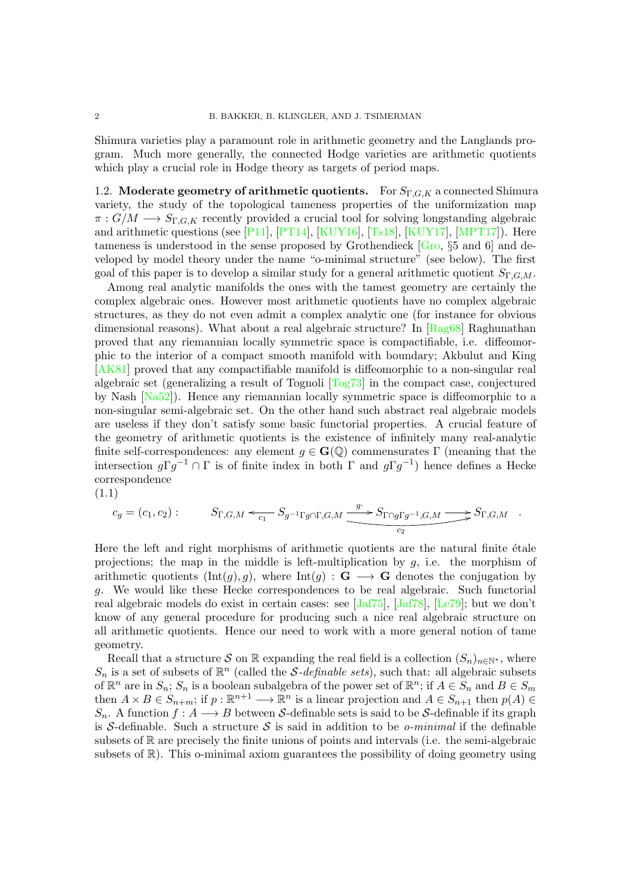Shimura varieties play a paramount role in arithmetic geometry and the Langlands program. Much more generally, the connected Hodge varieties are arithmetic quotients which play a crucial role in Hodge theory as targets of period maps.

1.2. Moderate geometry of arithmetic quotients. For  $S_{\Gamma G,K}$  a connected Shimura variety, the study of the topological tameness properties of the uniformization map  $\pi: G/M \longrightarrow S_{\Gamma,G,K}$  recently provided a crucial tool for solving longstanding algebraic and arithmetic questions (see [\[P11\]](#page-22-2), [\[PT14\]](#page-22-3), [\[KUY16\]](#page-21-0), [\[Ts18\]](#page-22-4), [\[KUY17\]](#page-21-1), [\[MPT17\]](#page-21-2)). Here tameness is understood in the sense proposed by Grothendieck [\[Gro,](#page-21-3) §5 and 6] and developed by model theory under the name "o-minimal structure" (see below). The first goal of this paper is to develop a similar study for a general arithmetic quotient  $S_{\Gamma,G,M}$ .

Among real analytic manifolds the ones with the tamest geometry are certainly the complex algebraic ones. However most arithmetic quotients have no complex algebraic structures, as they do not even admit a complex analytic one (for instance for obvious dimensional reasons). What about a real algebraic structure? In [\[Rag68\]](#page-22-5) Raghunathan proved that any riemannian locally symmetric space is compactifiable, i.e. diffeomorphic to the interior of a compact smooth manifold with boundary; Akbulut and King [\[AK81\]](#page-20-0) proved that any compactifiable manifold is diffeomorphic to a non-singular real algebraic set (generalizing a result of Tognoli [\[Tog73\]](#page-22-6) in the compact case, conjectured by Nash [\[Na52\]](#page-21-4)). Hence any riemannian locally symmetric space is diffeomorphic to a non-singular semi-algebraic set. On the other hand such abstract real algebraic models are useless if they don't satisfy some basic functorial properties. A crucial feature of the geometry of arithmetic quotients is the existence of infinitely many real-analytic finite self-correspondences: any element  $q \in \mathbf{G}(\mathbb{Q})$  commensurates  $\Gamma$  (meaning that the intersection  $g\Gamma g^{-1} \cap \Gamma$  is of finite index in both  $\Gamma$  and  $g\Gamma g^{-1}$ ) hence defines a Hecke correspondence

(1.1)

$$
c_g = (c_1, c_2): \t S_{\Gamma,G,M} \leftarrow_{c_1} S_{g^{-1}\Gamma g \cap \Gamma, G,M} \underbrace{\xrightarrow{g^*} S_{\Gamma \cap g \Gamma g^{-1}, G,M}}_{c_2} S_{\Gamma,G,M} \t .
$$

Here the left and right morphisms of arithmetic quotients are the natural finite  $\acute{e}$ tale projections; the map in the middle is left-multiplication by  $g$ , i.e. the morphism of arithmetic quotients  $(\text{Int}(q), q)$ , where  $\text{Int}(q) : \mathbf{G} \longrightarrow \mathbf{G}$  denotes the conjugation by g. We would like these Hecke correspondences to be real algebraic. Such functorial real algebraic models do exist in certain cases: see [\[Jaf75\]](#page-21-5), [\[Jaf78\]](#page-21-6), [\[Le79\]](#page-21-7); but we don't know of any general procedure for producing such a nice real algebraic structure on all arithmetic quotients. Hence our need to work with a more general notion of tame geometry.

Recall that a structure S on R expanding the real field is a collection  $(S_n)_{n\in\mathbb{N}^*}$ , where  $S_n$  is a set of subsets of  $\mathbb{R}^n$  (called the S-definable sets), such that: all algebraic subsets of  $\mathbb{R}^n$  are in  $S_n$ ;  $S_n$  is a boolean subalgebra of the power set of  $\mathbb{R}^n$ ; if  $A \in S_n$  and  $B \in S_m$ then  $A \times B \in S_{n+m}$ ; if  $p : \mathbb{R}^{n+1} \longrightarrow \mathbb{R}^n$  is a linear projection and  $A \in S_{n+1}$  then  $p(A) \in$  $S_n$ . A function  $f: A \longrightarrow B$  between S-definable sets is said to be S-definable if its graph is S-definable. Such a structure S is said in addition to be *o-minimal* if the definable subsets of  $\mathbb R$  are precisely the finite unions of points and intervals (i.e. the semi-algebraic subsets of  $\mathbb{R}$ ). This o-minimal axiom guarantees the possibility of doing geometry using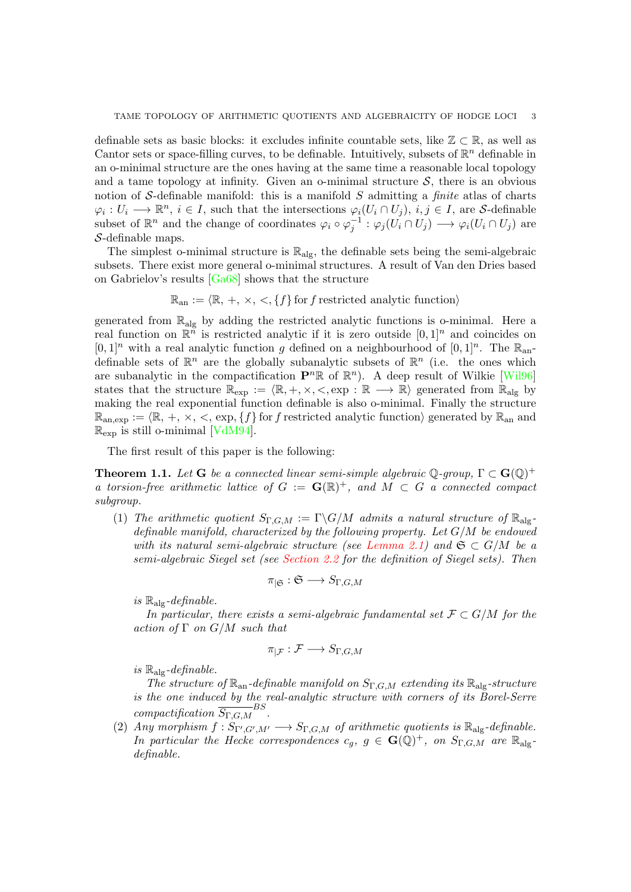definable sets as basic blocks: it excludes infinite countable sets, like  $\mathbb{Z} \subset \mathbb{R}$ , as well as Cantor sets or space-filling curves, to be definable. Intuitively, subsets of  $\mathbb{R}^n$  definable in an o-minimal structure are the ones having at the same time a reasonable local topology and a tame topology at infinity. Given an o-minimal structure  $S$ , there is an obvious notion of S-definable manifold: this is a manifold S admitting a *finite* atlas of charts  $\varphi_i: U_i \longrightarrow \mathbb{R}^n, i \in I$ , such that the intersections  $\varphi_i(U_i \cap U_j)$ ,  $i, j \in I$ , are S-definable subset of  $\mathbb{R}^n$  and the change of coordinates  $\varphi_i \circ \varphi_j^{-1} : \varphi_j(U_i \cap U_j) \longrightarrow \varphi_i(U_i \cap U_j)$  are S-definable maps.

The simplest o-minimal structure is  $\mathbb{R}_{alg}$ , the definable sets being the semi-algebraic subsets. There exist more general o-minimal structures. A result of Van den Dries based on Gabrielov's results [\[Ga68\]](#page-21-8) shows that the structure

 $\mathbb{R}_{\text{an}} := \langle \mathbb{R}, +, \times, \langle , \{ f \} \rangle$  for f restricted analytic function)

generated from  $\mathbb{R}_{\text{alg}}$  by adding the restricted analytic functions is o-minimal. Here a real function on  $\mathbb{R}^n$  is restricted analytic if it is zero outside  $[0,1]^n$  and coincides on  $[0, 1]^n$  with a real analytic function g defined on a neighbourhood of  $[0, 1]^n$ . The  $\mathbb{R}_{\text{an}}$ definable sets of  $\mathbb{R}^n$  are the globally subanalytic subsets of  $\mathbb{R}^n$  (i.e. the ones which are subanalytic in the compactification  $\mathbf{P}^n \mathbb{R}$  of  $\mathbb{R}^n$ ). A deep result of Wilkie [\[Wil96\]](#page-22-7) states that the structure  $\mathbb{R}_{exp} := \langle \mathbb{R}, +, \times, \langle \cdot, \exp : \mathbb{R} \longrightarrow \mathbb{R} \rangle$  generated from  $\mathbb{R}_{alg}$  by making the real exponential function definable is also o-minimal. Finally the structure  $\mathbb{R}_{\text{an,exp}} := \langle \mathbb{R}, +, \times, \langle \cdot, \exp, \{f\} \rangle$  for f restricted analytic function) generated by  $\mathbb{R}_{\text{an}}$  and  $\mathbb{R}_{\text{exp}}$  is still o-minimal [\[VdM94\]](#page-21-9).

The first result of this paper is the following:

<span id="page-2-0"></span>**Theorem 1.1.** Let **G** be a connected linear semi-simple algebraic  $\mathbb{Q}$ -group,  $\Gamma \subset \mathbf{G}(\mathbb{Q})^+$ a torsion-free arithmetic lattice of  $G := G(\mathbb{R})^+$ , and  $M \subset G$  a connected compact subgroup.

(1) The arithmetic quotient  $S_{\Gamma,G,M} := \Gamma \backslash G/M$  admits a natural structure of  $\mathbb{R}_{\text{alg}}$ definable manifold, characterized by the following property. Let  $G/M$  be endowed with its natural semi-algebraic structure (see [Lemma 2.1\)](#page-6-0) and  $\mathfrak{S} \subset G/M$  be a semi-algebraic Siegel set (see [Section 2.2](#page-7-0) for the definition of Siegel sets). Then

$$
\pi_{|\mathfrak{S}} : \mathfrak{S} \longrightarrow S_{\Gamma,G,M}
$$

is  $\mathbb{R}_{\text{alg}}$ -definable.

In particular, there exists a semi-algebraic fundamental set  $\mathcal{F} \subset G/M$  for the action of  $\Gamma$  on  $G/M$  such that

$$
\pi_{|\mathcal{F}} : \mathcal{F} \longrightarrow S_{\Gamma,G,M}
$$

is  $\mathbb{R}_{\text{alg}}$ -definable.

The structure of  $\mathbb{R}_{\text{an}}$ -definable manifold on  $S_{\Gamma,G,M}$  extending its  $\mathbb{R}_{\text{alg}}$ -structure is the one induced by the real-analytic structure with corners of its Borel-Serre compactification  $\overline{S_{\Gamma,G,M}}^{BS}$ .

(2) Any morphism  $f: S_{\Gamma', G', M'} \longrightarrow S_{\Gamma, G, M}$  of arithmetic quotients is  $\mathbb{R}_{\text{alg}}$ -definable. In particular the Hecke correspondences  $c_g$ ,  $g \in G(\mathbb{Q})^+$ , on  $S_{\Gamma,G,M}$  are  $\mathbb{R}_{\text{alg}}$ definable.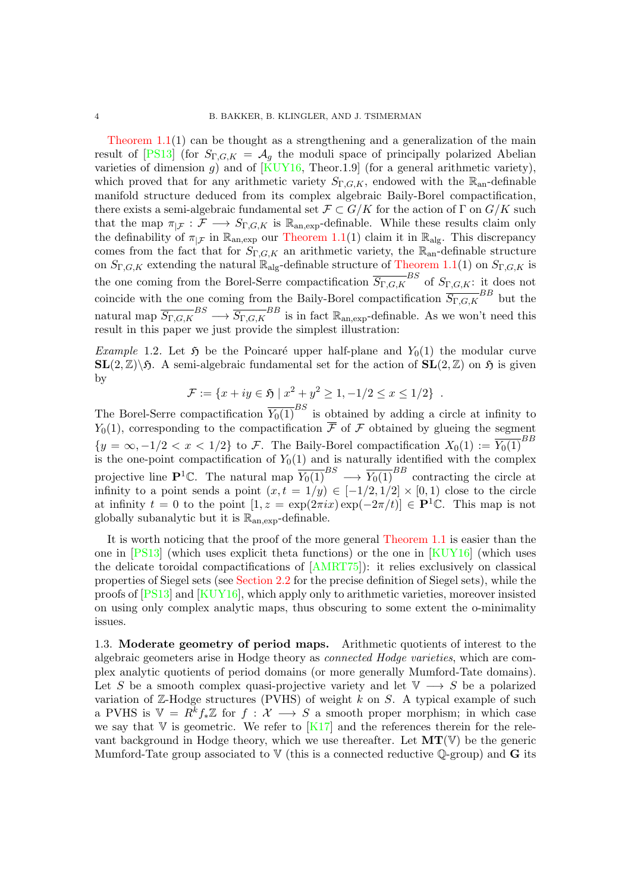Theorem  $1.1(1)$  can be thought as a strengthening and a generalization of the main result of [\[PS13\]](#page-21-10) (for  $S_{\Gamma,G,K} = \mathcal{A}_g$  the moduli space of principally polarized Abelian varieties of dimension  $q$ ) and of [\[KUY16,](#page-21-0) Theor.1.9] (for a general arithmetic variety), which proved that for any arithmetic variety  $S_{\Gamma,G,K}$ , endowed with the  $\mathbb{R}_{\text{an}}$ -definable manifold structure deduced from its complex algebraic Baily-Borel compactification, there exists a semi-algebraic fundamental set  $\mathcal{F} \subset G/K$  for the action of  $\Gamma$  on  $G/K$  such that the map  $\pi_{\mid \mathcal{F}} : \mathcal{F} \longrightarrow S_{\Gamma,G,K}$  is  $\mathbb{R}_{an,exp}$ -definable. While these results claim only the definability of  $\pi_{\mathcal{F}}$  in  $\mathbb{R}_{\text{an,exp}}$  our [Theorem 1.1\(](#page-2-0)1) claim it in  $\mathbb{R}_{\text{alg}}$ . This discrepancy comes from the fact that for  $S_{\Gamma,G,K}$  an arithmetic variety, the  $\mathbb{R}_{\text{an}}$ -definable structure on  $S_{\Gamma,G,K}$  extending the natural  $\mathbb{R}_{\text{alg}}$ -definable structure of [Theorem 1.1\(](#page-2-0)1) on  $S_{\Gamma,G,K}$  is the one coming from the Borel-Serre compactification  $\overline{S_{\Gamma,G,K}}^{BS}$  of  $S_{\Gamma,G,K}$ : it does not coincide with the one coming from the Baily-Borel compactification  $\overline{S_{\Gamma,G,K}}^{BB}$  but the natural map  $\overline{S_{\Gamma,G,K}}^{BS} \longrightarrow \overline{S_{\Gamma,G,K}}^{BB}$  is in fact  $\mathbb{R}_{an,exp}$ -definable. As we won't need this result in this paper we just provide the simplest illustration:

*Example* 1.2. Let  $\mathfrak{H}$  be the Poincaré upper half-plane and  $Y_0(1)$  the modular curve  $SL(2,\mathbb{Z})\backslash\mathfrak{H}$ . A semi-algebraic fundamental set for the action of  $SL(2,\mathbb{Z})$  on  $\mathfrak{H}$  is given by

$$
\mathcal{F} := \{ x + iy \in \mathfrak{H} \mid x^2 + y^2 \ge 1, -1/2 \le x \le 1/2 \} .
$$

The Borel-Serre compactification  $\overline{Y_0(1)}^{BS}$  is obtained by adding a circle at infinity to  $Y_0(1)$ , corresponding to the compactification F of F obtained by glueing the segment  ${y = \infty, -1/2 < x < 1/2}$  to F. The Baily-Borel compactification  $X_0(1) := \overline{Y_0(1)}^{BB}$ is the one-point compactification of  $Y_0(1)$  and is naturally identified with the complex projective line  $\mathbf{P}^1 \mathbb{C}$ . The natural map  $\overline{Y_0(1)}^{BS} \longrightarrow \overline{Y_0(1)}^{BB}$  contracting the circle at infinity to a point sends a point  $(x, t = 1/y) \in [-1/2, 1/2] \times [0, 1)$  close to the circle at infinity  $t = 0$  to the point  $[1, z = \exp(2\pi i x) \exp(-2\pi / t)] \in \mathbf{P}^1 \mathbb{C}$ . This map is not globally subanalytic but it is  $\mathbb{R}_{an,exp}$ -definable.

It is worth noticing that the proof of the more general [Theorem 1.1](#page-2-0) is easier than the one in  $[PS13]$  (which uses explicit theta functions) or the one in  $[KUY16]$  (which uses the delicate toroidal compactifications of [\[AMRT75\]](#page-20-1)): it relies exclusively on classical properties of Siegel sets (see [Section 2.2](#page-7-0) for the precise definition of Siegel sets), while the proofs of [\[PS13\]](#page-21-10) and [\[KUY16\]](#page-21-0), which apply only to arithmetic varieties, moreover insisted on using only complex analytic maps, thus obscuring to some extent the o-minimality issues.

1.3. Moderate geometry of period maps. Arithmetic quotients of interest to the algebraic geometers arise in Hodge theory as connected Hodge varieties, which are complex analytic quotients of period domains (or more generally Mumford-Tate domains). Let S be a smooth complex quasi-projective variety and let  $\mathbb{V} \longrightarrow S$  be a polarized variation of  $\mathbb{Z}$ -Hodge structures (PVHS) of weight k on S. A typical example of such a PVHS is  $\mathbb{V} = R^k f_* \mathbb{Z}$  for  $f : \mathcal{X} \longrightarrow S$  a smooth proper morphism; in which case we say that  $V$  is geometric. We refer to  $\lfloor K17 \rfloor$  and the references therein for the relevant background in Hodge theory, which we use thereafter. Let  $MT(V)$  be the generic Mumford-Tate group associated to  $V$  (this is a connected reductive Q-group) and **G** its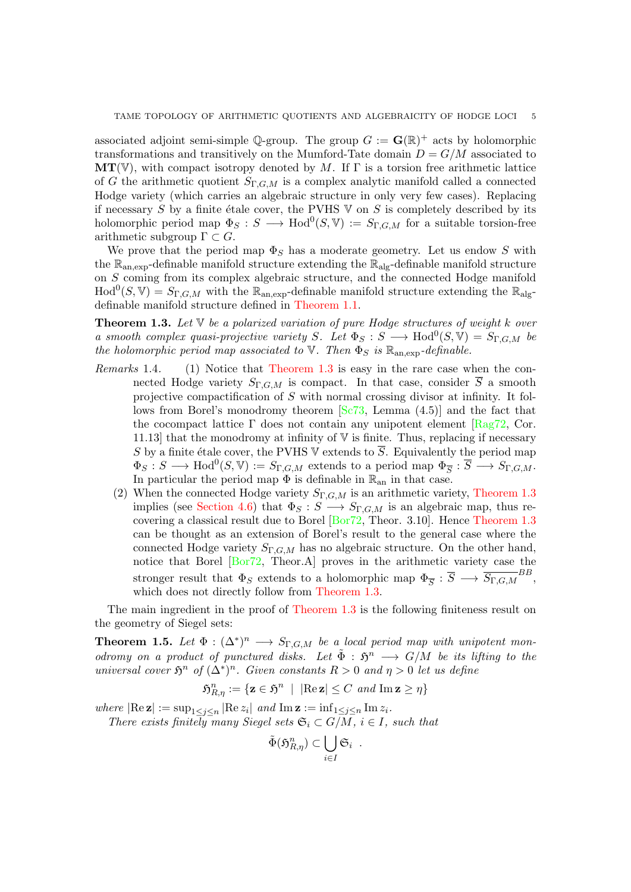associated adjoint semi-simple Q-group. The group  $G := \mathbf{G}(\mathbb{R})^+$  acts by holomorphic transformations and transitively on the Mumford-Tate domain  $D = G/M$  associated to  $MT(V)$ , with compact isotropy denoted by M. If  $\Gamma$  is a torsion free arithmetic lattice of G the arithmetic quotient  $S_{\Gamma,G,M}$  is a complex analytic manifold called a connected Hodge variety (which carries an algebraic structure in only very few cases). Replacing if necessary  $S$  by a finite étale cover, the PVHS V on  $S$  is completely described by its holomorphic period map  $\Phi_S : S \longrightarrow \text{Hod}^0(S, V) := S_{\Gamma, G, M}$  for a suitable torsion-free arithmetic subgroup  $\Gamma \subset G$ .

We prove that the period map  $\Phi_S$  has a moderate geometry. Let us endow S with the  $\mathbb{R}_{\text{an,exp}}$ -definable manifold structure extending the  $\mathbb{R}_{\text{alg}}$ -definable manifold structure on S coming from its complex algebraic structure, and the connected Hodge manifold  $H \text{od}^0(S, V) = S_{\Gamma, G, M}$  with the  $\mathbb{R}_{\text{an,exp}}$ -definable manifold structure extending the  $\mathbb{R}_{\text{alg}}$ definable manifold structure defined in [Theorem 1.1.](#page-2-0)

<span id="page-4-0"></span>**Theorem 1.3.** Let  $\nabla$  be a polarized variation of pure Hodge structures of weight k over a smooth complex quasi-projective variety S. Let  $\Phi_S : S \longrightarrow \text{Hod}^0(S, V) = S_{\Gamma, G, M}$  be the holomorphic period map associated to  $\nabla$ . Then  $\Phi_S$  is  $\mathbb{R}_{\text{an,exp}}$ -definable.

- Remarks 1.4. (1) Notice that [Theorem 1.3](#page-4-0) is easy in the rare case when the connected Hodge variety  $S_{\Gamma,G,M}$  is compact. In that case, consider  $\overline{S}$  a smooth projective compactification of S with normal crossing divisor at infinity. It follows from Borel's monodromy theorem [\[Sc73,](#page-22-8) Lemma (4.5)] and the fact that the cocompact lattice  $\Gamma$  does not contain any unipotent element [\[Rag72,](#page-22-9) Cor. 11.13] that the monodromy at infinity of  $\nabla$  is finite. Thus, replacing if necessary S by a finite étale cover, the PVHS V extends to  $\overline{S}$ . Equivalently the period map  $\Phi_S: S \longrightarrow \text{Hod}^0(S, \mathbb{V}) := S_{\Gamma,G,M}$  extends to a period map  $\Phi_{\overline{S}}: \overline{S} \longrightarrow S_{\Gamma,G,M}.$ In particular the period map  $\Phi$  is definable in  $\mathbb{R}_{\text{an}}$  in that case.
	- (2) When the connected Hodge variety  $S_{\Gamma,G,M}$  is an arithmetic variety, [Theorem 1.3](#page-4-0) implies (see [Section 4.6\)](#page-17-0) that  $\Phi_S : S \longrightarrow S_{\Gamma,G,M}$  is an algebraic map, thus recovering a classical result due to Borel [\[Bor72,](#page-20-2) Theor. 3.10]. Hence [Theorem 1.3](#page-4-0) can be thought as an extension of Borel's result to the general case where the connected Hodge variety  $S_{\Gamma,G,M}$  has no algebraic structure. On the other hand, notice that Borel [\[Bor72,](#page-20-2) Theor.A] proves in the arithmetic variety case the stronger result that  $\Phi_S$  extends to a holomorphic map  $\Phi_{\overline{S}} : \overline{S} \longrightarrow \overline{S_{\Gamma,G,M}}^{BB}$ , which does not directly follow from [Theorem 1.3.](#page-4-0)

The main ingredient in the proof of [Theorem 1.3](#page-4-0) is the following finiteness result on the geometry of Siegel sets:

<span id="page-4-1"></span>**Theorem 1.5.** Let  $\Phi : (\Delta^*)^n \longrightarrow S_{\Gamma,G,M}$  be a local period map with unipotent monodromy on a product of punctured disks. Let  $\tilde{\Phi} : \mathfrak{H}^n \longrightarrow G/M$  be its lifting to the universal cover  $\mathfrak{H}^n$  of  $(\Delta^*)^n$ . Given constants  $R > 0$  and  $\eta > 0$  let us define

$$
\mathfrak{H}_{R,\eta}^n := \{ \mathbf{z} \in \mathfrak{H}^n \: \mid \: |\text{Re}\,\mathbf{z}| \le C \text{ and } \text{Im}\,\mathbf{z} \ge \eta \}
$$

where  $|\text{Re } z| := \sup_{1 \leq j \leq n} |\text{Re } z_i|$  and  $\text{Im } z := \inf_{1 \leq j \leq n} \text{Im } z_i$ . There exists finitely many Siegel sets  $\mathfrak{S}_i \subset G/M$ ,  $i \in I$ , such that

$$
\tilde{\Phi}(\mathfrak{H}^n_{R,\eta}) \subset \bigcup_{i \in I} \mathfrak{S}_i \ .
$$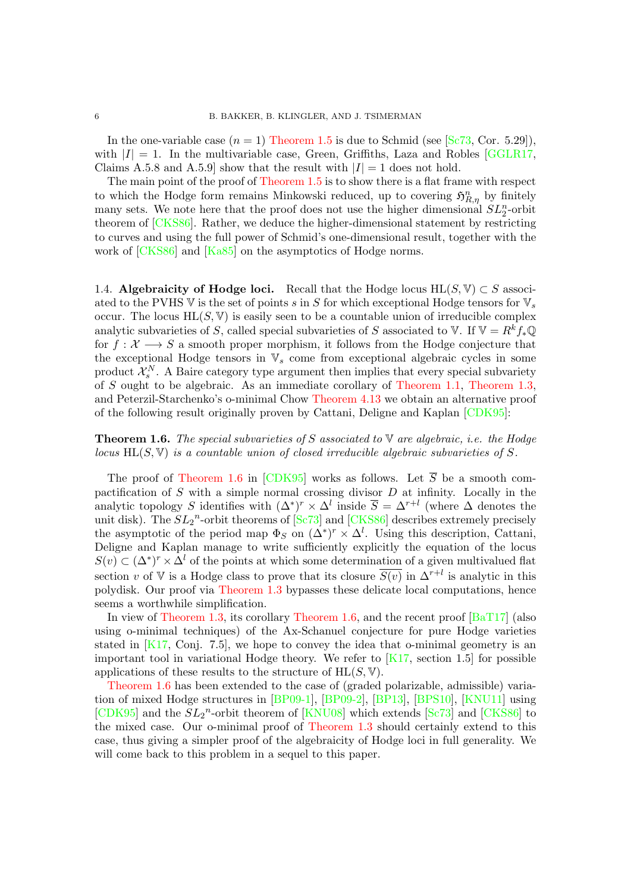In the one-variable case  $(n = 1)$  [Theorem 1.5](#page-4-1) is due to Schmid (see [\[Sc73,](#page-22-8) Cor. 5.29]), with  $|I| = 1$ . In the multivariable case, Green, Griffiths, Laza and Robles [\[GGLR17,](#page-21-12) Claims A.5.8 and A.5.9] show that the result with  $|I| = 1$  does not hold.

The main point of the proof of [Theorem 1.5](#page-4-1) is to show there is a flat frame with respect to which the Hodge form remains Minkowski reduced, up to covering  $\mathfrak{H}_{R,\eta}^n$  by finitely many sets. We note here that the proof does not use the higher dimensional  $SL_2^n$ -orbit theorem of [\[CKS86\]](#page-20-3). Rather, we deduce the higher-dimensional statement by restricting to curves and using the full power of Schmid's one-dimensional result, together with the work of [\[CKS86\]](#page-20-3) and [\[Ka85\]](#page-21-13) on the asymptotics of Hodge norms.

1.4. Algebraicity of Hodge loci. Recall that the Hodge locus  $HL(S, V) \subset S$  associated to the PVHS V is the set of points s in S for which exceptional Hodge tensors for  $V_s$ occur. The locus  $HL(S, V)$  is easily seen to be a countable union of irreducible complex analytic subvarieties of S, called special subvarieties of S associated to V. If  $\mathbb{V} = R^k f_* \mathbb{Q}$ for  $f: \mathcal{X} \longrightarrow S$  a smooth proper morphism, it follows from the Hodge conjecture that the exceptional Hodge tensors in  $V_s$  come from exceptional algebraic cycles in some product  $\mathcal{X}_s^N$ . A Baire category type argument then implies that every special subvariety of S ought to be algebraic. As an immediate corollary of [Theorem 1.1,](#page-2-0) [Theorem 1.3,](#page-4-0) and Peterzil-Starchenko's o-minimal Chow [Theorem 4.13](#page-17-1) we obtain an alternative proof of the following result originally proven by Cattani, Deligne and Kaplan [\[CDK95\]](#page-20-4):

# <span id="page-5-0"></span>**Theorem 1.6.** The special subvarieties of S associated to  $\mathbb{V}$  are algebraic, i.e. the Hodge locus  $HL(S, V)$  is a countable union of closed irreducible algebraic subvarieties of S.

The proof of [Theorem 1.6](#page-5-0) in [\[CDK95\]](#page-20-4) works as follows. Let  $\overline{S}$  be a smooth compactification of  $S$  with a simple normal crossing divisor  $D$  at infinity. Locally in the analytic topology S identifies with  $(\Delta^*)^r \times \Delta^l$  inside  $\overline{S} = \Delta^{r+l}$  (where  $\Delta$  denotes the unit disk). The  $SL_2$ <sup>n</sup>-orbit theorems of [\[Sc73\]](#page-22-8) and [\[CKS86\]](#page-20-3) describes extremely precisely the asymptotic of the period map  $\Phi_S$  on  $(\Delta^*)^r \times \Delta^l$ . Using this description, Cattani, Deligne and Kaplan manage to write sufficiently explicitly the equation of the locus  $S(v) \subset (\Delta^*)^r \times \Delta^l$  of the points at which some determination of a given multivalued flat section v of V is a Hodge class to prove that its closure  $\overline{S(v)}$  in  $\Delta^{r+l}$  is analytic in this polydisk. Our proof via [Theorem 1.3](#page-4-0) bypasses these delicate local computations, hence seems a worthwhile simplification.

In view of [Theorem 1.3,](#page-4-0) its corollary [Theorem 1.6,](#page-5-0) and the recent proof [\[BaT17\]](#page-20-5) (also using o-minimal techniques) of the Ax-Schanuel conjecture for pure Hodge varieties stated in  $[K17, Coni. 7.5]$ , we hope to convey the idea that o-minimal geometry is an important tool in variational Hodge theory. We refer to  $\left[K17, \text{ section } 1.5\right]$  for possible applications of these results to the structure of  $HL(S, V)$ .

[Theorem 1.6](#page-5-0) has been extended to the case of (graded polarizable, admissible) variation of mixed Hodge structures in [\[BP09-1\]](#page-20-6), [\[BP09-2\]](#page-20-7), [\[BP13\]](#page-20-8), [\[BPS10\]](#page-20-9), [\[KNU11\]](#page-21-14) using [\[CDK95\]](#page-20-4) and the  $SL_2$ <sup>n</sup>-orbit theorem of [\[KNU08\]](#page-21-15) which extends [\[Sc73\]](#page-22-8) and [\[CKS86\]](#page-20-3) to the mixed case. Our o-minimal proof of [Theorem 1.3](#page-4-0) should certainly extend to this case, thus giving a simpler proof of the algebraicity of Hodge loci in full generality. We will come back to this problem in a sequel to this paper.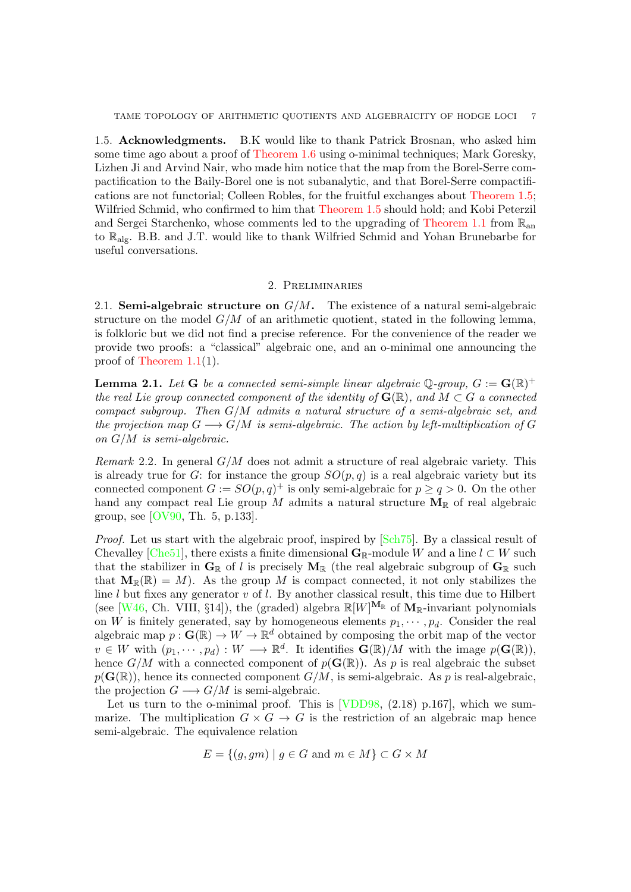1.5. Acknowledgments. B.K would like to thank Patrick Brosnan, who asked him some time ago about a proof of [Theorem 1.6](#page-5-0) using o-minimal techniques; Mark Goresky, Lizhen Ji and Arvind Nair, who made him notice that the map from the Borel-Serre compactification to the Baily-Borel one is not subanalytic, and that Borel-Serre compactifications are not functorial; Colleen Robles, for the fruitful exchanges about [Theorem 1.5;](#page-4-1) Wilfried Schmid, who confirmed to him that [Theorem 1.5](#page-4-1) should hold; and Kobi Peterzil and Sergei Starchenko, whose comments led to the upgrading of [Theorem 1.1](#page-2-0) from  $\mathbb{R}_{an}$ to  $\mathbb{R}_{\text{alg}}$ . B.B. and J.T. would like to thank Wilfried Schmid and Yohan Brunebarbe for useful conversations.

## 2. Preliminaries

2.1. Semi-algebraic structure on  $G/M$ . The existence of a natural semi-algebraic structure on the model  $G/M$  of an arithmetic quotient, stated in the following lemma, is folkloric but we did not find a precise reference. For the convenience of the reader we provide two proofs: a "classical" algebraic one, and an o-minimal one announcing the proof of [Theorem 1.1\(](#page-2-0)1).

<span id="page-6-0"></span>**Lemma 2.1.** Let **G** be a connected semi-simple linear algebraic Q-group,  $G := G(\mathbb{R})^+$ the real Lie group connected component of the identity of  $\mathbf{G}(\mathbb{R})$ , and  $M \subset G$  a connected compact subgroup. Then  $G/M$  admits a natural structure of a semi-algebraic set, and the projection map  $G \longrightarrow G/M$  is semi-algebraic. The action by left-multiplication of G on  $G/M$  is semi-algebraic.

Remark 2.2. In general  $G/M$  does not admit a structure of real algebraic variety. This is already true for G: for instance the group  $SO(p,q)$  is a real algebraic variety but its connected component  $G := SO(p, q)^+$  is only semi-algebraic for  $p \ge q > 0$ . On the other hand any compact real Lie group M admits a natural structure  $M_{\mathbb{R}}$  of real algebraic group, see [\[OV90,](#page-21-16) Th. 5, p.133].

Proof. Let us start with the algebraic proof, inspired by [\[Sch75\]](#page-22-10). By a classical result of Chevalley [\[Che51\]](#page-20-10), there exists a finite dimensional  $\mathbf{G}_{\mathbb{R}}$ -module W and a line  $l \subset W$  such that the stabilizer in  $G_{\mathbb{R}}$  of l is precisely  $M_{\mathbb{R}}$  (the real algebraic subgroup of  $G_{\mathbb{R}}$  such that  $M_{\mathbb{R}}(\mathbb{R}) = M$ ). As the group M is compact connected, it not only stabilizes the line  $l$  but fixes any generator  $v$  of  $l$ . By another classical result, this time due to Hilbert (see [\[W46,](#page-22-11) Ch. VIII, §14]), the (graded) algebra  $\mathbb{R}[W]^{\mathbf{M}_{\mathbb{R}}}$  of  $\mathbf{M}_{\mathbb{R}}$ -invariant polynomials on W is finitely generated, say by homogeneous elements  $p_1, \dots, p_d$ . Consider the real algebraic map  $p: \mathbf{G}(\mathbb{R}) \to W \to \mathbb{R}^d$  obtained by composing the orbit map of the vector  $v \in W$  with  $(p_1, \dots, p_d) : W \longrightarrow \mathbb{R}^d$ . It identifies  $\mathbf{G}(\mathbb{R})/M$  with the image  $p(\mathbf{G}(\mathbb{R}))$ , hence  $G/M$  with a connected component of  $p(G(\mathbb{R}))$ . As p is real algebraic the subset  $p(G(\mathbb{R}))$ , hence its connected component  $G/M$ , is semi-algebraic. As p is real-algebraic, the projection  $G \longrightarrow G/M$  is semi-algebraic.

Let us turn to the o-minimal proof. This is  $[VDD98, (2.18)$  p.167, which we summarize. The multiplication  $G \times G \to G$  is the restriction of an algebraic map hence semi-algebraic. The equivalence relation

$$
E = \{(g, gm) \mid g \in G \text{ and } m \in M\} \subset G \times M
$$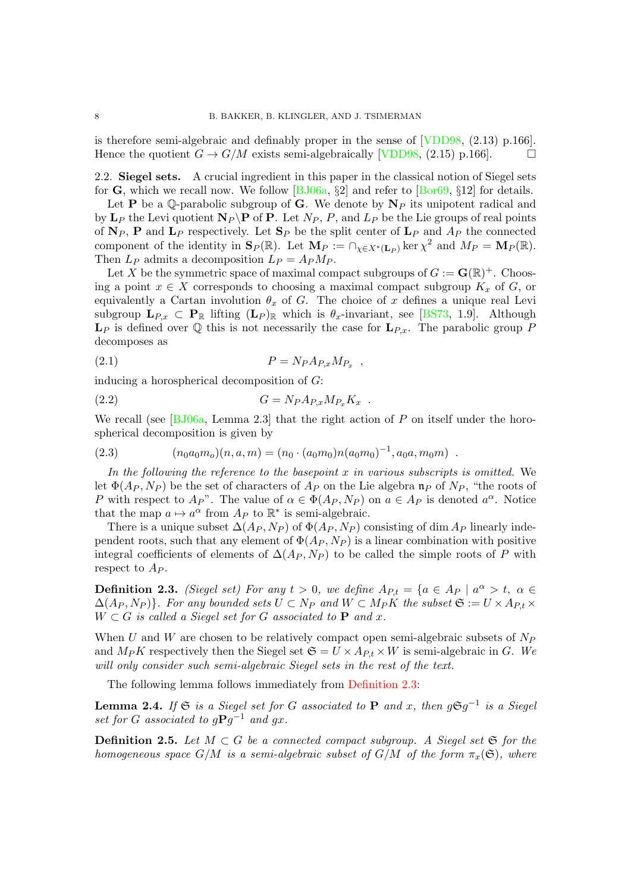is therefore semi-algebraic and definably proper in the sense of [\[VDD98,](#page-21-17) (2.13) p.166]. Hence the quotient  $G \to G/M$  exists semi-algebraically [\[VDD98,](#page-21-17) (2.15) p.166.

<span id="page-7-0"></span>2.2. Siegel sets. A crucial ingredient in this paper in the classical notion of Siegel sets for G, which we recall now. We follow  $[BJ06a, \S2]$  and refer to  $[Bor69, \S12]$  for details.

Let **P** be a  $\mathbb{Q}$ -parabolic subgroup of **G**. We denote by  $\mathbb{N}_P$  its unipotent radical and by  $\mathbf{L}_P$  the Levi quotient  $\mathbf{N}_P \backslash \mathbf{P}$  of **P**. Let  $N_P$ , P, and  $L_P$  be the Lie groups of real points of  $N_P$ , **P** and  $L_P$  respectively. Let  $S_P$  be the split center of  $L_P$  and  $A_P$  the connected component of the identity in  $\mathbf{S}_P(\mathbb{R})$ . Let  $\mathbf{M}_P := \bigcap_{\chi \in X^*(\mathbf{L}_P)} \ker \chi^2$  and  $M_P = \mathbf{M}_P(\mathbb{R})$ . Then  $L_P$  admits a decomposition  $L_P = A_P M_P$ .

Let X be the symmetric space of maximal compact subgroups of  $G := \mathbf{G}(\mathbb{R})^+$ . Choosing a point  $x \in X$  corresponds to choosing a maximal compact subgroup  $K_x$  of G, or equivalently a Cartan involution  $\theta_x$  of G. The choice of x defines a unique real Levi subgroup  $L_{P,x} \subset \mathbf{P}_{\mathbb{R}}$  lifting  $(L_P)_{\mathbb{R}}$  which is  $\theta_x$ -invariant, see [\[BS73,](#page-20-13) 1.9]. Although  $L_P$  is defined over Q this is not necessarily the case for  $L_{P,x}$ . The parabolic group P decomposes as

$$
(2.1) \t\t P = N_P A_{P,x} M_{P_x} ,
$$

inducing a horospherical decomposition of G:

$$
(2.2) \t\t\t G = N_P A_{P,x} M_{P_x} K_x .
$$

We recall (see  $[**B** J06a$ , Lemma 2.3) that the right action of P on itself under the horospherical decomposition is given by

(2.3) 
$$
(n_0 a_0 m_o)(n, a, m) = (n_0 \cdot (a_0 m_0) n (a_0 m_0)^{-1}, a_0 a, m_0 m) .
$$

In the following the reference to the basepoint  $x$  in various subscripts is omitted. We let  $\Phi(A_P, N_P)$  be the set of characters of  $A_P$  on the Lie algebra  $\mathfrak{n}_P$  of  $N_P$ , "the roots of P with respect to  $A_P$ ". The value of  $\alpha \in \Phi(A_P, N_P)$  on  $a \in A_P$  is denoted  $a^{\alpha}$ . Notice that the map  $a \mapsto a^{\alpha}$  from  $A_P$  to  $\mathbb{R}^*$  is semi-algebraic.

There is a unique subset  $\Delta(A_P, N_P)$  of  $\Phi(A_P, N_P)$  consisting of dim  $A_P$  linearly independent roots, such that any element of  $\Phi(A_P, N_P)$  is a linear combination with positive integral coefficients of elements of  $\Delta(A_P, N_P)$  to be called the simple roots of P with respect to  $A_P$ .

<span id="page-7-1"></span>**Definition 2.3.** (Siegel set) For any  $t > 0$ , we define  $A_{P,t} = \{a \in A_P | a^{\alpha} > t, \alpha \in \mathbb{R} \}$  $\Delta(A_P, N_P)$ . For any bounded sets  $U \subset N_P$  and  $W \subset M_P K$  the subset  $\mathfrak{S} := U \times A_{P,t} \times$  $W \subset G$  is called a Siegel set for G associated to **P** and x.

When U and W are chosen to be relatively compact open semi-algebraic subsets of  $N_P$ and  $M_P K$  respectively then the Siegel set  $\mathfrak{S} = U \times A_{P_t} \times W$  is semi-algebraic in G. We will only consider such semi-algebraic Siegel sets in the rest of the text.

The following lemma follows immediately from [Definition 2.3:](#page-7-1)

**Lemma 2.4.** If G is a Siegel set for G associated to P and x, then  $gGg^{-1}$  is a Siegel set for G associated to  $gPg^{-1}$  and gx.

**Definition 2.5.** Let  $M \subset G$  be a connected compact subgroup. A Siegel set  $\mathfrak{S}$  for the homogeneous space G/M is a semi-algebraic subset of G/M of the form  $\pi_x(\mathfrak{S})$ , where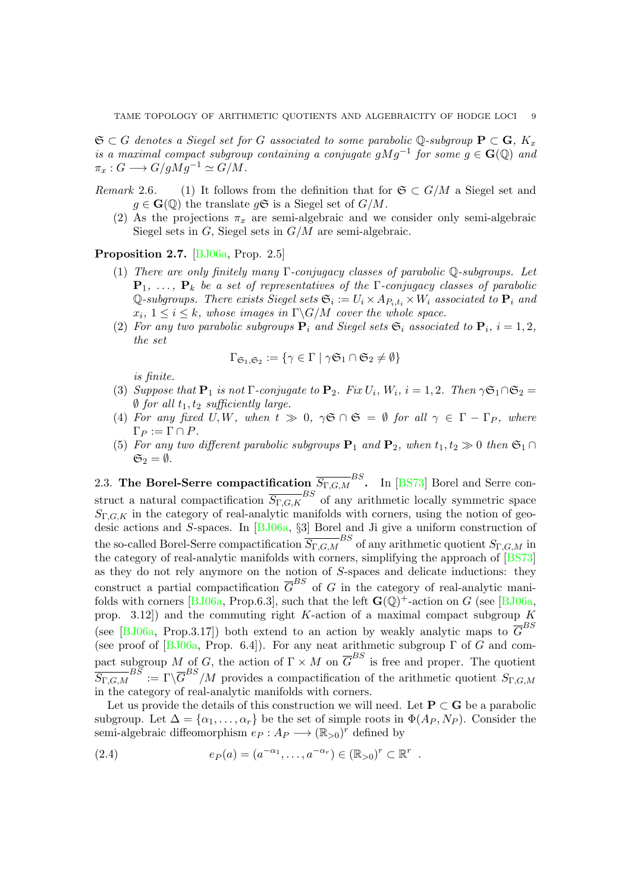$\mathfrak{S} \subset G$  denotes a Siegel set for G associated to some parabolic Q-subgroup  $\mathbf{P} \subset \mathbf{G}$ ,  $K_x$ is a maximal compact subgroup containing a conjugate  $gMg^{-1}$  for some  $g \in G(\mathbb{Q})$  and  $\pi_r : G \longrightarrow G/qMg^{-1} \simeq G/M$ .

- <span id="page-8-2"></span>Remark 2.6. (1) It follows from the definition that for  $\mathfrak{S} \subset G/M$  a Siegel set and  $q \in \mathbf{G}(\mathbb{Q})$  the translate  $q\mathfrak{S}$  is a Siegel set of  $G/M$ .
	- (2) As the projections  $\pi_x$  are semi-algebraic and we consider only semi-algebraic Siegel sets in  $G$ , Siegel sets in  $G/M$  are semi-algebraic.

## <span id="page-8-0"></span>Proposition 2.7. [\[BJ06a,](#page-20-11) Prop. 2.5]

- (1) There are only finitely many Γ-conjugacy classes of parabolic Q-subgroups. Let  ${\bf P}_1, \ldots, {\bf P}_k$  be a set of representatives of the Γ-conjugacy classes of parabolic Q-subgroups. There exists Siegel sets  $\mathfrak{S}_i := U_i \times A_{P_i,t_i} \times W_i$  associated to  $\mathbf{P}_i$  and  $x_i, 1 \leq i \leq k$ , whose images in  $\Gamma \backslash G/M$  cover the whole space.
- (2) For any two parabolic subgroups  $P_i$  and Siegel sets  $\mathfrak{S}_i$  associated to  $P_i$ ,  $i = 1, 2$ , the set

$$
\Gamma_{\mathfrak{S}_1,\mathfrak{S}_2} := \{ \gamma \in \Gamma \mid \gamma \mathfrak{S}_1 \cap \mathfrak{S}_2 \neq \emptyset \}
$$

is finite.

- (3) Suppose that  $\mathbf{P}_1$  is not  $\Gamma$ -conjugate to  $\mathbf{P}_2$ . Fix  $U_i$ ,  $W_i$ ,  $i = 1, 2$ . Then  $\gamma \mathfrak{S}_1 \cap \mathfrak{S}_2 =$  $\emptyset$  for all  $t_1, t_2$  sufficiently large.
- (4) For any fixed U, W, when  $t \gg 0$ ,  $\gamma \mathfrak{S} \cap \mathfrak{S} = \emptyset$  for all  $\gamma \in \Gamma \Gamma_P$ , where  $\Gamma_P := \Gamma \cap P$ .
- (5) For any two different parabolic subgroups  $P_1$  and  $P_2$ , when  $t_1, t_2 \gg 0$  then  $\mathfrak{S}_1 \cap$  $\mathfrak{S}_2 = \emptyset$ .

2.3. The Borel-Serre compactification  $\overline{S_{\Gamma,G,M}}^{BS}$ . In [\[BS73\]](#page-20-13) Borel and Serre construct a natural compactification  $\overline{S_{\Gamma,G,K}}^{BS}$  of any arithmetic locally symmetric space  $S_{\Gamma,G,K}$  in the category of real-analytic manifolds with corners, using the notion of geodesic actions and S-spaces. In [\[BJ06a,](#page-20-11) §3] Borel and Ji give a uniform construction of the so-called Borel-Serre compactification  $\overline{S_{\Gamma,G,M}}^{BS}$  of any arithmetic quotient  $S_{\Gamma,G,M}$  in the category of real-analytic manifolds with corners, simplifying the approach of [\[BS73\]](#page-20-13) as they do not rely anymore on the notion of  $S$ -spaces and delicate inductions: they construct a partial compactification  $\overline{G}^{BS}$  of G in the category of real-analytic mani-folds with corners [\[BJ06a,](#page-20-11) Prop.6.3], such that the left  $\mathbf{G}(\mathbb{Q})^+$ -action on G (see [BJ06a, prop. 3.12]) and the commuting right  $K$ -action of a maximal compact subgroup  $K$ (see [\[BJ06a,](#page-20-11) Prop.3.17]) both extend to an action by weakly analytic maps to  $\overline{G}^{BS}$ (see proof of [\[BJ06a,](#page-20-11) Prop. 6.4]). For any neat arithmetic subgroup  $\Gamma$  of G and compact subgroup M of G, the action of  $\Gamma \times M$  on  $\overline{G}^{BS}$  is free and proper. The quotient  $\overline{S_{\Gamma,G,M}}^{BS}:=\Gamma\backslash\overline{G}^{BS}/M$  provides a compactification of the arithmetic quotient  $S_{\Gamma,G,M}$ in the category of real-analytic manifolds with corners.

Let us provide the details of this construction we will need. Let  $P \subset G$  be a parabolic subgroup. Let  $\Delta = {\alpha_1, \ldots, \alpha_r}$  be the set of simple roots in  $\Phi(A_P, N_P)$ . Consider the semi-algebraic diffeomorphism  $e_P : A_P \longrightarrow (\mathbb{R}_{>0})^r$  defined by

<span id="page-8-1"></span>(2.4) 
$$
e_P(a) = (a^{-\alpha_1}, \dots, a^{-\alpha_r}) \in (\mathbb{R}_{>0})^r \subset \mathbb{R}^r.
$$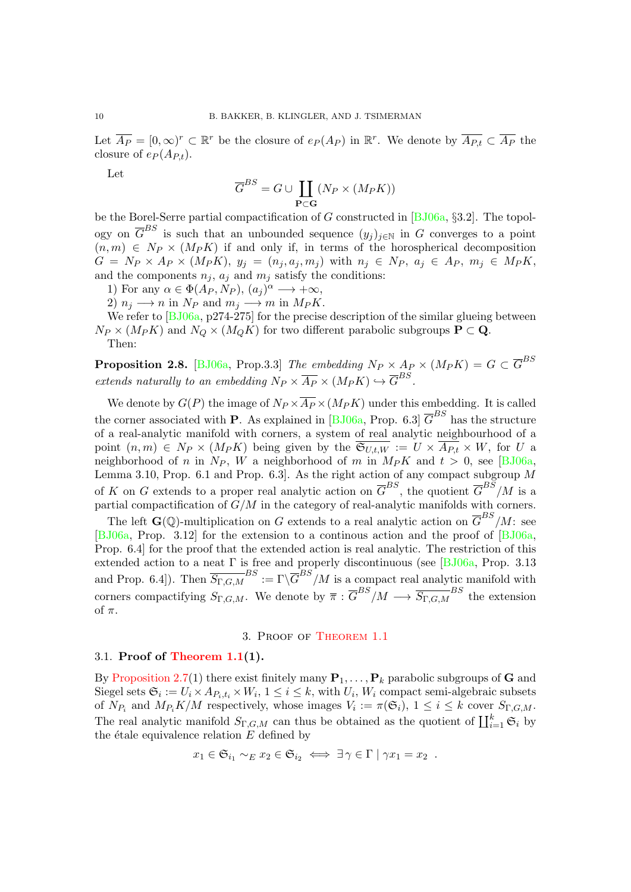Let  $\overline{A_P} = [0, \infty)^r \subset \mathbb{R}^r$  be the closure of  $e_P(A_P)$  in  $\mathbb{R}^r$ . We denote by  $\overline{A_{P,t}} \subset \overline{A_P}$  the closure of  $e_P (A_{P_t}).$ 

Let

$$
\overline{G}^{BS} = G \cup \coprod_{\mathbf{P} \subset \mathbf{G}} (N_P \times (M_P K))
$$

be the Borel-Serre partial compactification of G constructed in  $[BJ06a, \S3.2]$ . The topology on  $\overline{G}^{BS}$  is such that an unbounded sequence  $(y_j)_{j\in\mathbb{N}}$  in G converges to a point  $(n, m) \in N_P \times (M_P K)$  if and only if, in terms of the horospherical decomposition  $G = N_P \times A_P \times (M_P K), y_j = (n_j, a_j, m_j)$  with  $n_j \in N_P, a_j \in A_P, m_j \in M_P K$ , and the components  $n_j$ ,  $a_j$  and  $m_j$  satisfy the conditions:

1) For any  $\alpha \in \Phi(A_P, N_P), (a_j)^{\alpha} \longrightarrow +\infty$ ,

2)  $n_j \longrightarrow n$  in  $N_P$  and  $m_j \longrightarrow m$  in  $M_P K$ .

We refer to [\[BJ06a,](#page-20-11) p274-275] for the precise description of the similar glueing between  $N_P \times (M_P K)$  and  $N_Q \times (M_Q K)$  for two different parabolic subgroups  $P \subset Q$ . Then:

**Proposition 2.8.** [\[BJ06a,](#page-20-11) Prop.3.3] The embedding  $N_P \times A_P \times (M_P K) = G \subset \overline{G}^{BS}$ extends naturally to an embedding  $N_P \times \overline{A_P} \times (M_P K) \hookrightarrow \overline{G}^{BS}$ .

We denote by  $G(P)$  the image of  $N_P \times \overline{A_P} \times (M_P K)$  under this embedding. It is called the corner associated with **P**. As explained in [\[BJ06a,](#page-20-11) Prop. 6.3]  $\overline{G}^{BS}$  has the structure of a real-analytic manifold with corners, a system of real analytic neighbourhood of a point  $(n, m) \in N_P \times (M_P K)$  being given by the  $\overline{\mathfrak{S}_{U,t,W}} := U \times \overline{A_{P,t}} \times W$ , for U a neighborhood of n in N<sub>P</sub>, W a neighborhood of m in M<sub>P</sub>K and  $t > 0$ , see [\[BJ06a,](#page-20-11) Lemma 3.10, Prop. 6.1 and Prop. 6.3]. As the right action of any compact subgroup M of K on G extends to a proper real analytic action on  $\overline{G}^{BS}$ , the quotient  $\overline{G}^{BS}/M$  is a partial compactification of  $G/M$  in the category of real-analytic manifolds with corners.

The left  $\mathbf{G}(\mathbb{Q})$ -multiplication on G extends to a real analytic action on  $\overline{G}^{BS}/M$ : see [\[BJ06a,](#page-20-11) Prop. 3.12] for the extension to a continous action and the proof of [\[BJ06a,](#page-20-11) Prop. 6.4] for the proof that the extended action is real analytic. The restriction of this extended action to a neat  $\Gamma$  is free and properly discontinuous (see [\[BJ06a,](#page-20-11) Prop. 3.13 and Prop. 6.4]). Then  $\overline{S_{\Gamma,G,M}}^{BS} := \Gamma \backslash \overline{G}^{BS}/M$  is a compact real analytic manifold with corners compactifying  $S_{\Gamma,G,M}$ . We denote by  $\overline{\pi} : \overline{G}^{BS}/M \longrightarrow \overline{S_{\Gamma,G,M}}^{BS}$  the extension of  $\pi$ .

### 3. Proof of [Theorem 1.1](#page-2-0)

## <span id="page-9-0"></span>3.1. Proof of Theorem  $1.1(1)$ .

By [Proposition 2.7\(](#page-8-0)1) there exist finitely many  $P_1, \ldots, P_k$  parabolic subgroups of G and Siegel sets  $\mathfrak{S}_i := U_i \times A_{P_i,t_i} \times W_i$ ,  $1 \leq i \leq k$ , with  $U_i$ ,  $W_i$  compact semi-algebraic subsets of  $N_{P_i}$  and  $M_{P_i} K/M$  respectively, whose images  $V_i := \pi(\mathfrak{S}_i)$ ,  $1 \leq i \leq k$  cover  $S_{\Gamma,G,M}$ . The real analytic manifold  $S_{\Gamma,G,M}$  can thus be obtained as the quotient of  $\prod_{i=1}^k \mathfrak{S}_i$  by the étale equivalence relation  $E$  defined by

$$
x_1 \in \mathfrak{S}_{i_1} \sim_E x_2 \in \mathfrak{S}_{i_2} \iff \exists \gamma \in \Gamma \mid \gamma x_1 = x_2 .
$$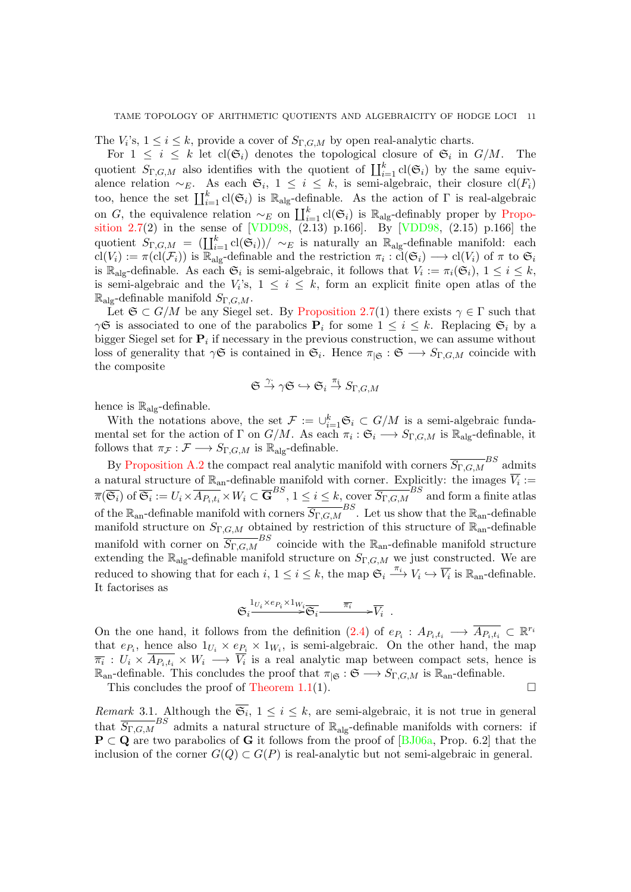The  $V_i$ 's,  $1 \leq i \leq k$ , provide a cover of  $S_{\Gamma,G,M}$  by open real-analytic charts.

For  $1 \leq i \leq k$  let  $\text{cl}(\mathfrak{S}_i)$  denotes the topological closure of  $\mathfrak{S}_i$  in  $G/M$ . The quotient  $S_{\Gamma,G,M}$  also identifies with the quotient of  $\prod_{i=1}^k \text{cl}(\mathfrak{S}_i)$  by the same equivalence relation  $\sim_E$ . As each  $\mathfrak{S}_i$ ,  $1 \leq i \leq k$ , is semi-algebraic, their closure cl( $F_i$ ) too, hence the set  $\coprod_{i=1}^k$  cl( $\mathfrak{S}_i$ ) is  $\mathbb{R}_{\text{alg}}$ -definable. As the action of  $\Gamma$  is real-algebraic on G, the equivalence relation  $\sim_E$  on  $\coprod_{i=1}^k$  cl( $\mathfrak{S}_i$ ) is R<sub>alg-</sub>definably proper by [Propo](#page-8-0)[sition 2.7\(](#page-8-0)2) in the sense of [\[VDD98,](#page-21-17) (2.13) p.166]. By [\[VDD98,](#page-21-17) (2.15) p.166] the quotient  $S_{\Gamma,G,M} = (\coprod_{i=1}^k \text{cl}(\mathfrak{S}_i))/\sim_E \mathfrak{g}$  is naturally an  $\mathbb{R}_{\text{alg}}$ -definable manifold: each  $\text{cl}(V_i) := \pi(\text{cl}(\mathcal{F}_i))$  is  $\mathbb{R}_{\text{alg}}$ -definable and the restriction  $\pi_i : \text{cl}(\mathfrak{S}_i) \longrightarrow \text{cl}(V_i)$  of  $\pi$  to  $\mathfrak{S}_i$ is  $\mathbb{R}_{\text{alg}}$ -definable. As each  $\mathfrak{S}_i$  is semi-algebraic, it follows that  $V_i := \pi_i(\mathfrak{S}_i)$ ,  $1 \leq i \leq k$ , is semi-algebraic and the  $V_i$ 's,  $1 \leq i \leq k$ , form an explicit finite open atlas of the  $\mathbb{R}_{\text{ale}}$ -definable manifold  $S_{\Gamma,G,M}$ .

Let  $\mathfrak{S} \subset G/M$  be any Siegel set. By [Proposition 2.7\(](#page-8-0)1) there exists  $\gamma \in \Gamma$  such that  $\gamma$ **G** is associated to one of the parabolics  $P_i$  for some  $1 \leq i \leq k$ . Replacing  $\mathfrak{S}_i$  by a bigger Siegel set for  $P_i$  if necessary in the previous construction, we can assume without loss of generality that  $\gamma \mathfrak{S}$  is contained in  $\mathfrak{S}_i$ . Hence  $\pi_{|\mathfrak{S}} : \mathfrak{S} \longrightarrow S_{\Gamma,G,M}$  coincide with the composite

$$
\mathfrak{S} \xrightarrow{\gamma} \gamma \mathfrak{S} \hookrightarrow \mathfrak{S}_i \xrightarrow{\pi_i} S_{\Gamma,G,M}
$$

hence is  $\mathbb{R}_{\text{alg}}$ -definable.

With the notations above, the set  $\mathcal{F} := \cup_{i=1}^k \mathfrak{S}_i \subset G/M$  is a semi-algebraic fundamental set for the action of  $\Gamma$  on  $G/M$ . As each  $\pi_i : \mathfrak{S}_i \longrightarrow S_{\Gamma,G,M}$  is  $\mathbb{R}_{\text{alg}}$ -definable, it follows that  $\pi_{\mathcal{F}} : \mathcal{F} \longrightarrow S_{\Gamma,G,M}$  is  $\mathbb{R}_{\text{alg}}$ -definable.

By [Proposition A.2](#page-19-0) the compact real analytic manifold with corners  $\overline{S_{\Gamma,G,M}}^{BS}$  admits a natural structure of  $\mathbb{R}_{\text{an}}$ -definable manifold with corner. Explicitly: the images  $\overline{V_i}$  :=  $\overline{\pi}(\overline{\mathfrak{S}_i}) \text{ of } \overline{\mathfrak{S}_i} := U_i \times \overline{A_{P_i,t_i}} \times W_i \subset \overline{\mathbf{G}}^{BS}, 1 \leq i \leq k, \text{cover } \overline{S_{\Gamma,G,M}}^{BS} \text{ and form a finite atlas}$ of the  $\mathbb{R}_{\text{an}}$ -definable manifold with corners  $\overline{S_{\Gamma,G,M}}^{BS}$ . Let us show that the  $\mathbb{R}_{\text{an}}$ -definable manifold structure on  $S_{\Gamma,G,M}$  obtained by restriction of this structure of  $\mathbb{R}_{\text{an}}$ -definable manifold with corner on  $\overline{S_{\Gamma,G,M}}^{BS}$  coincide with the  $\mathbb{R}_{\text{an}}$ -definable manifold structure extending the  $\mathbb{R}_{\text{alg}}$ -definable manifold structure on  $S_{\Gamma,G,M}$  we just constructed. We are reduced to showing that for each  $i, 1 \leq i \leq k$ , the map  $\mathfrak{S}_i \stackrel{\pi_i}{\longrightarrow} V_i \hookrightarrow \overline{V_i}$  is  $\mathbb{R}_{\text{an}}$ -definable. It factorises as

$$
\mathfrak{S}_{i} \xrightarrow{1_{U_i} \times e_{P_i} \times 1_{W_i}} \overline{\mathfrak{S}_{i}} \xrightarrow{\overline{\pi_i}} \overline{V_i} \quad .
$$

On the one hand, it follows from the definition  $(2.4)$  of  $e_{P_i}: A_{P_i,t_i} \longrightarrow \overline{A_{P_i,t_i}} \subset \mathbb{R}^{r_i}$ that  $e_{P_i}$ , hence also  $1_{U_i} \times e_{P_i} \times 1_{W_i}$ , is semi-algebraic. On the other hand, the map  $\overline{\pi_i}: U_i \times \overline{A_{P_i,t_i}} \times W_i \longrightarrow \overline{V_i}$  is a real analytic map between compact sets, hence is  $\mathbb{R}_{\text{an}}$ -definable. This concludes the proof that  $\pi_{|\mathfrak{S}} : \mathfrak{S} \longrightarrow S_{\Gamma,G,M}$  is  $\mathbb{R}_{\text{an}}$ -definable. This concludes the proof of [Theorem 1.1\(](#page-2-0)1).

*Remark* 3.1. Although the  $\overline{\mathfrak{S}_i}$ ,  $1 \leq i \leq k$ , are semi-algebraic, it is not true in general that  $\overline{S_{\Gamma,G,M}}^{BS}$  admits a natural structure of  $\mathbb{R}_{\text{alg}}$ -definable manifolds with corners: if  $P \subset Q$  are two parabolics of G it follows from the proof of [\[BJ06a,](#page-20-11) Prop. 6.2] that the inclusion of the corner  $G(Q) \subset G(P)$  is real-analytic but not semi-algebraic in general.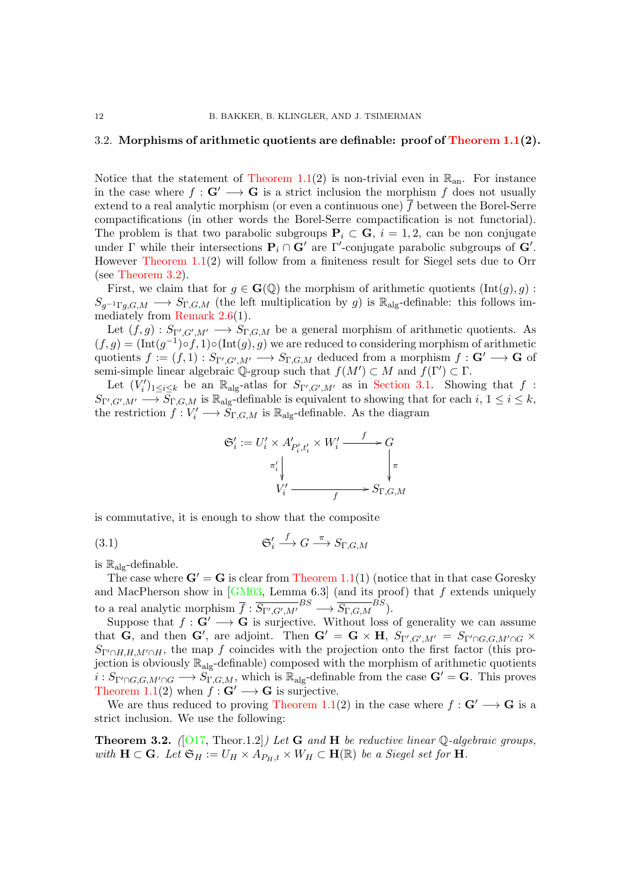### 3.2. Morphisms of arithmetic quotients are definable: proof of Theorem  $1.1(2)$ .

Notice that the statement of [Theorem 1.1\(](#page-2-0)2) is non-trivial even in  $\mathbb{R}_{an}$ . For instance in the case where  $f : G' \longrightarrow G$  is a strict inclusion the morphism f does not usually extend to a real analytic morphism (or even a continuous one)  $\overline{f}$  between the Borel-Serre compactifications (in other words the Borel-Serre compactification is not functorial). The problem is that two parabolic subgroups  $P_i \subset G$ ,  $i = 1, 2$ , can be non conjugate under  $\Gamma$  while their intersections  $P_i \cap G'$  are  $\Gamma'$ -conjugate parabolic subgroups of  $G'$ . However [Theorem 1.1\(](#page-2-0)2) will follow from a finiteness result for Siegel sets due to Orr (see [Theorem 3.2\)](#page-11-0).

First, we claim that for  $q \in \mathbf{G}(\mathbb{Q})$  the morphism of arithmetic quotients  $(\text{Int}(q), q)$ :  $S_{g^{-1}\Gamma g,G,M} \longrightarrow S_{\Gamma,G,M}$  (the left multiplication by g) is  $\mathbb{R}_{\text{alg}}$ -definable: this follows immediately from [Remark 2.6\(](#page-8-2)1).

Let  $(f,g) : S_{\Gamma',G',M'} \longrightarrow S_{\Gamma,G,M}$  be a general morphism of arithmetic quotients. As  $(f,g) = (\text{Int}(g^{-1}) \circ f, 1) \circ (\text{Int}(g), g)$  we are reduced to considering morphism of arithmetic quotients  $f := (f, 1) : S_{\Gamma', G', M'} \longrightarrow S_{\Gamma, G, M}$  deduced from a morphism  $f : G' \longrightarrow G$  of semi-simple linear algebraic  $\mathbb{Q}$ -group such that  $f(M') \subset M$  and  $f(\Gamma') \subset \Gamma$ .

Let  $(V'_i)_{1\leq i\leq k}$  be an  $\mathbb{R}_{\text{alg}}$ -atlas for  $S_{\Gamma',G',M'}$  as in [Section 3.1.](#page-9-0) Showing that  $f$ :  $S_{\Gamma',G',M'} \longrightarrow \overline{S}_{\Gamma,G,M}$  is  $\mathbb{R}_{\text{alg}}$ -definable is equivalent to showing that for each  $i, 1 \leq i \leq k$ , the restriction  $f: V_i' \longrightarrow \widetilde{S}_{\Gamma,G,M}$  is  $\mathbb{R}_{\text{alg}}$ -definable. As the diagram

<span id="page-11-1"></span>
$$
\mathfrak{S}'_i := U'_i \times A'_{P'_i, t'_i} \times W'_i \xrightarrow{f} G
$$
\n
$$
\pi'_i \downarrow \qquad \qquad \downarrow \pi
$$
\n
$$
V'_i \xrightarrow{f} S_{\Gamma, G, M}
$$

is commutative, it is enough to show that the composite

$$
(3.1) \t\t \mathfrak{S}'_i \xrightarrow{f} G \xrightarrow{\pi} S_{\Gamma,G,M}
$$

is  $\mathbb{R}_{\text{alg}}$ -definable.

The case where  $G' = G$  is clear from [Theorem 1.1\(](#page-2-0)1) (notice that in that case Goresky and MacPherson show in  $[GM03, \text{ Lemma } 6.3]$  (and its proof) that f extends uniquely to a real analytic morphism  $\overline{f}: \overline{S_{\Gamma',G',M'}}^{BS} \longrightarrow \overline{S_{\Gamma,G,M}}^{BS}$ .

Suppose that  $f: G' \longrightarrow G$  is surjective. Without loss of generality we can assume that G, and then G', are adjoint. Then  $G' = G \times H$ ,  $S_{\Gamma', G', M'} = S_{\Gamma' \cap G, G, M' \cap G}$  $S_{\Gamma'\cap H,H,M'\cap H}$ , the map f coincides with the projection onto the first factor (this projection is obviously  $\mathbb{R}_{\text{alg}}$ -definable) composed with the morphism of arithmetic quotients  $i: S_{\Gamma'\cap G,G,M'\cap G}\longrightarrow S_{\Gamma,G,M}$ , which is  $\mathbb{R}_{\text{alg}}$ -definable from the case  $G' = G$ . This proves [Theorem 1.1\(](#page-2-0)2) when  $f: G' \longrightarrow G$  is surjective.

We are thus reduced to proving [Theorem 1.1\(](#page-2-0)2) in the case where  $f : G' \longrightarrow G$  is a strict inclusion. We use the following:

<span id="page-11-0"></span>**Theorem 3.2.** ([\[O17,](#page-21-19) Theor.1.2]) Let **G** and **H** be reductive linear Q-algebraic groups, with  $H \subset G$ . Let  $\mathfrak{S}_H := U_H \times A_{P_H,t} \times W_H \subset \mathbf{H}(\mathbb{R})$  be a Siegel set for  $\mathbf{H}$ .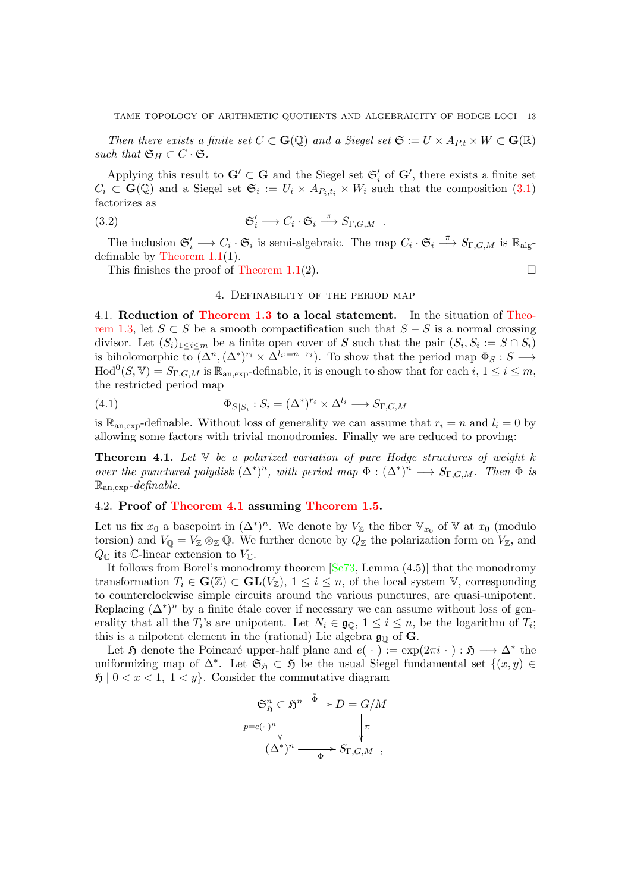Then there exists a finite set  $C \subset \mathbf{G}(\mathbb{Q})$  and a Siegel set  $\mathfrak{S} := U \times A_{P,t} \times W \subset \mathbf{G}(\mathbb{R})$ such that  $\mathfrak{S}_H \subset C \cdot \mathfrak{S}$ .

Applying this result to  $G' \subset G$  and the Siegel set  $\mathfrak{S}'_i$  of  $G'$ , there exists a finite set  $C_i \subset \mathbf{G}(\overline{\mathbb{Q}})$  and a Siegel set  $\mathfrak{S}_i := U_i \times A_{P_i,t_i} \times W_i$  such that the composition  $(3.1)$ factorizes as

(3.2) 
$$
\mathfrak{S}'_i \longrightarrow C_i \cdot \mathfrak{S}_i \stackrel{\pi}{\longrightarrow} S_{\Gamma,G,M} .
$$

The inclusion  $\mathfrak{S}'_i \longrightarrow C_i \cdot \mathfrak{S}_i$  is semi-algebraic. The map  $C_i \cdot \mathfrak{S}_i \stackrel{\pi}{\longrightarrow} S_{\Gamma,G,M}$  is  $\mathbb{R}_{\text{alg}}$ definable by [Theorem 1.1\(](#page-2-0)1).

This finishes the proof of [Theorem 1.1\(](#page-2-0)2).  $\Box$ 

#### 4. Definability of the period map

4.1. Reduction of [Theorem 1.3](#page-4-0) to a local statement. In the situation of [Theo](#page-4-0)[rem 1.3,](#page-4-0) let  $S \subset \overline{S}$  be a smooth compactification such that  $\overline{S} - S$  is a normal crossing divisor. Let  $(\overline{S_i})_{1 \leq i \leq m}$  be a finite open cover of  $\overline{S}$  such that the pair  $(\overline{S_i}, S_i := S \cap \overline{S_i})$ is biholomorphic to  $(\Delta^n, (\Delta^*)^{r_i} \times \Delta^{l_i=n-r_i})$ . To show that the period map  $\Phi_S : S \longrightarrow$  $\text{Hod}^0(S, \mathbb{V}) = S_{\Gamma, G, M}$  is  $\mathbb{R}_{\text{an,exp}}$ -definable, it is enough to show that for each  $i, 1 \leq i \leq m$ , the restricted period map

(4.1) 
$$
\Phi_{S|S_i}: S_i = (\Delta^*)^{r_i} \times \Delta^{l_i} \longrightarrow S_{\Gamma,G,M}
$$

is  $\mathbb{R}_{an,exp}$ -definable. Without loss of generality we can assume that  $r_i = n$  and  $l_i = 0$  by allowing some factors with trivial monodromies. Finally we are reduced to proving:

<span id="page-12-0"></span>**Theorem 4.1.** Let  $\mathbb{V}$  be a polarized variation of pure Hodge structures of weight k over the punctured polydisk  $(\Delta^*)^n$ , with period map  $\Phi : (\Delta^*)^n \longrightarrow S_{\Gamma,G,M}$ . Then  $\Phi$  is  $\mathbb{R}_{an,exp}$ -definable.

## 4.2. Proof of [Theorem 4.1](#page-12-0) assuming [Theorem 1.5.](#page-4-1)

Let us fix  $x_0$  a basepoint in  $(\Delta^*)^n$ . We denote by  $V_{\mathbb{Z}}$  the fiber  $\mathbb{V}_{x_0}$  of  $\mathbb{V}$  at  $x_0$  (modulo torsion) and  $V_{\mathbb{Q}} = V_{\mathbb{Z}} \otimes_{\mathbb{Z}} \mathbb{Q}$ . We further denote by  $Q_{\mathbb{Z}}$  the polarization form on  $V_{\mathbb{Z}}$ , and  $Q_{\mathbb{C}}$  its  $\mathbb{C}\text{-linear extension to }V_{\mathbb{C}}$ .

It follows from Borel's monodromy theorem  $[Sc73, Lemma (4.5)]$  that the monodromy transformation  $T_i \in \mathbf{G}(\mathbb{Z}) \subset \mathbf{GL}(V_{\mathbb{Z}}), 1 \leq i \leq n$ , of the local system  $\mathbb{V}$ , corresponding to counterclockwise simple circuits around the various punctures, are quasi-unipotent. Replacing  $(\Delta^*)^n$  by a finite étale cover if necessary we can assume without loss of generality that all the  $T_i$ 's are unipotent. Let  $N_i \in \mathfrak{g}_{\mathbb{Q}}$ ,  $1 \leq i \leq n$ , be the logarithm of  $T_i$ ; this is a nilpotent element in the (rational) Lie algebra  $\mathfrak{g}_{\mathbb{O}}$  of **G**.

Let  $\mathfrak{H}$  denote the Poincaré upper-half plane and  $e(\cdot) := \exp(2\pi i \cdot) : \mathfrak{H} \longrightarrow \Delta^*$  the uniformizing map of  $\Delta^*$ . Let  $\mathfrak{S}_{\mathfrak{H}} \subset \mathfrak{H}$  be the usual Siegel fundamental set  $\{(x, y) \in$  $\mathfrak{H} \mid 0 < x < 1, \ 1 < y$ . Consider the commutative diagram

$$
\mathfrak{S}_{\mathfrak{H}}^n \subset \mathfrak{H}^n \xrightarrow{\tilde{\Phi}} D = G/M
$$

$$
p = e(\cdot)^n \downarrow \qquad \qquad \downarrow \pi
$$

$$
(\Delta^*)^n \xrightarrow{\Phi} S_{\Gamma,G,M} ,
$$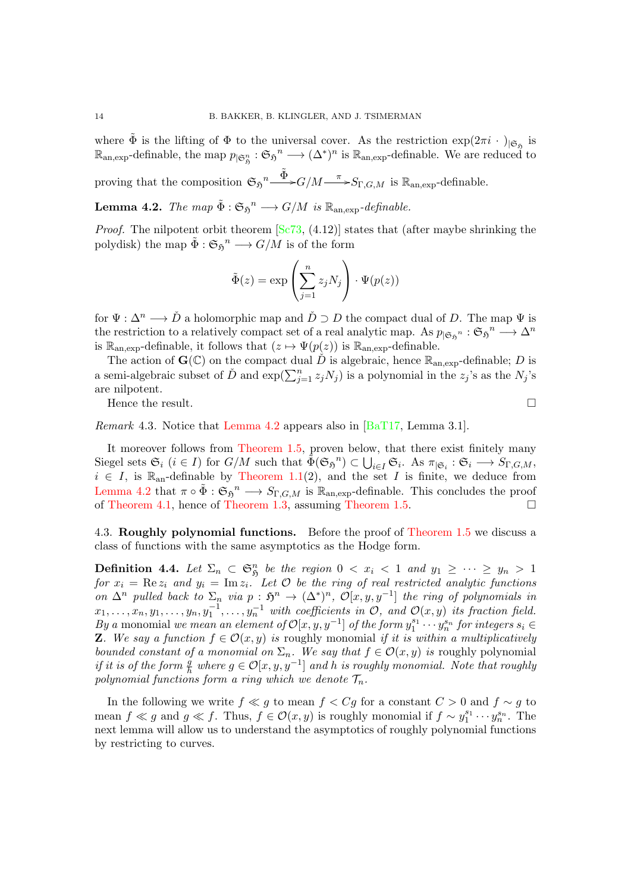where  $\tilde{\Phi}$  is the lifting of  $\Phi$  to the universal cover. As the restriction  $\exp(2\pi i \cdot )_{|\mathfrak{S}_{\mathfrak{H}}}$  is  $\mathbb{R}_{\text{an,exp}}$ -definable, the map  $p_{|\mathfrak{S}_{\mathfrak{H}}^n} : \mathfrak{S}_{\mathfrak{H}}^n \longrightarrow (\Delta^*)^n$  is  $\mathbb{R}_{\text{an,exp}}$ -definable. We are reduced to

proving that the composition  $\mathfrak{S}_{\mathfrak{H}}^n \stackrel{\tilde{\Phi}}{\longrightarrow} G/M \stackrel{\pi}{\longrightarrow} S_{\Gamma,G,M}$  is  $\mathbb{R}_{\text{an,exp}}$ -definable.

<span id="page-13-0"></span>**Lemma 4.2.** The map  $\tilde{\Phi}: \mathfrak{S}_{\mathfrak{H}}^n \longrightarrow G/M$  is  $\mathbb{R}_{\text{an,exp}}$ -definable.

*Proof.* The nilpotent orbit theorem  $\left[Sc73, (4.12)\right]$  states that (after maybe shrinking the polydisk) the map  $\tilde{\Phi}: \mathfrak{S}_{\mathfrak{H}}^n \longrightarrow G/M$  is of the form

$$
\tilde{\Phi}(z) = \exp\left(\sum_{j=1}^{n} z_j N_j\right) \cdot \Psi(p(z))
$$

for  $\Psi : \Delta^n \longrightarrow \check{D}$  a holomorphic map and  $\check{D} \supset D$  the compact dual of D. The map  $\Psi$  is the restriction to a relatively compact set of a real analytic map. As  $p_{\mid \mathfrak{S}_{\mathfrak{H}}^n} : \mathfrak{S}_{\mathfrak{H}}^n \longrightarrow \Delta^n$ is  $\mathbb{R}_{\text{an,exp}}$ -definable, it follows that  $(z \mapsto \Psi(p(z))$  is  $\mathbb{R}_{\text{an,exp}}$ -definable.

The action of  $\mathbf{G}(\mathbb{C})$  on the compact dual  $\dot{D}$  is algebraic, hence  $\mathbb{R}_{\text{an,exp}}$ -definable; D is a semi-algebraic subset of  $\tilde{D}$  and  $\exp(\sum_{j=1}^n z_j N_j)$  is a polynomial in the  $z_j$ 's as the  $N_j$ 's are nilpotent.

Hence the result.  $\Box$ 

*Remark* 4.3. Notice that [Lemma 4.2](#page-13-0) appears also in  $\left[\text{BaT17}, \text{Lemma 3.1}\right]$ .

It moreover follows from [Theorem 1.5,](#page-4-1) proven below, that there exist finitely many Siegel sets  $\mathfrak{S}_i$   $(i \in I)$  for  $G/M$  such that  $\tilde{\Phi}(\mathfrak{S}_{\mathfrak{H}}^n) \subset \bigcup_{i \in I} \mathfrak{S}_i$ . As  $\pi_{|\mathfrak{S}_i} : \mathfrak{S}_i \longrightarrow S_{\Gamma,G,M}$ ,  $i \in I$ , is  $\mathbb{R}_{\text{an}}$ -definable by [Theorem 1.1\(](#page-2-0)2), and the set I is finite, we deduce from [Lemma 4.2](#page-13-0) that  $\pi \circ \tilde{\Phi}: \mathfrak{S}_{\mathfrak{H}}^n \longrightarrow S_{\Gamma,G,M}$  is  $\mathbb{R}_{\text{an,exp}}$ -definable. This concludes the proof of [Theorem 4.1,](#page-12-0) hence of [Theorem 1.3,](#page-4-0) assuming [Theorem 1.5.](#page-4-1)

4.3. Roughly polynomial functions. Before the proof of [Theorem 1.5](#page-4-1) we discuss a class of functions with the same asymptotics as the Hodge form.

**Definition 4.4.** Let  $\Sigma_n \subset \mathfrak{S}_{\mathfrak{H}}^n$  be the region  $0 < x_i < 1$  and  $y_1 \geq \cdots \geq y_n > 1$ for  $x_i = \text{Re } z_i$  and  $y_i = \text{Im } z_i$ . Let  $\mathcal O$  be the ring of real restricted analytic functions on  $\Delta^n$  pulled back to  $\Sigma_n$  via  $p : \mathfrak{H}^n \to (\Delta^*)^n$ ,  $\mathcal{O}[x, y, y^{-1}]$  the ring of polynomials in  $x_1, \ldots, x_n, y_1, \ldots, y_n, y_1^{-1}, \ldots, y_n^{-1}$  with coefficients in  $\mathcal{O}$ , and  $\mathcal{O}(x, y)$  its fraction field. By a monomial we mean an element of  $\mathcal{O}[x,y,y^{-1}]$  of the form  $y_1^{s_1} \cdots y_n^{s_n}$  for integers  $s_i \in$ **Z**. We say a function  $f \in \mathcal{O}(x, y)$  is roughly monomial if it is within a multiplicatively bounded constant of a monomial on  $\Sigma_n$ . We say that  $f \in \mathcal{O}(x, y)$  is roughly polynomial if it is of the form  $\frac{g}{h}$  where  $g \in \mathcal{O}[x, y, y^{-1}]$  and h is roughly monomial. Note that roughly polynomial functions form a ring which we denote  $\mathcal{T}_n$ .

<span id="page-13-1"></span>In the following we write  $f \ll g$  to mean  $f < Cg$  for a constant  $C > 0$  and  $f \sim g$  to mean  $f \ll g$  and  $g \ll f$ . Thus,  $f \in \mathcal{O}(x, y)$  is roughly monomial if  $f \sim y_1^{s_1} \cdots y_n^{s_n}$ . The next lemma will allow us to understand the asymptotics of roughly polynomial functions by restricting to curves.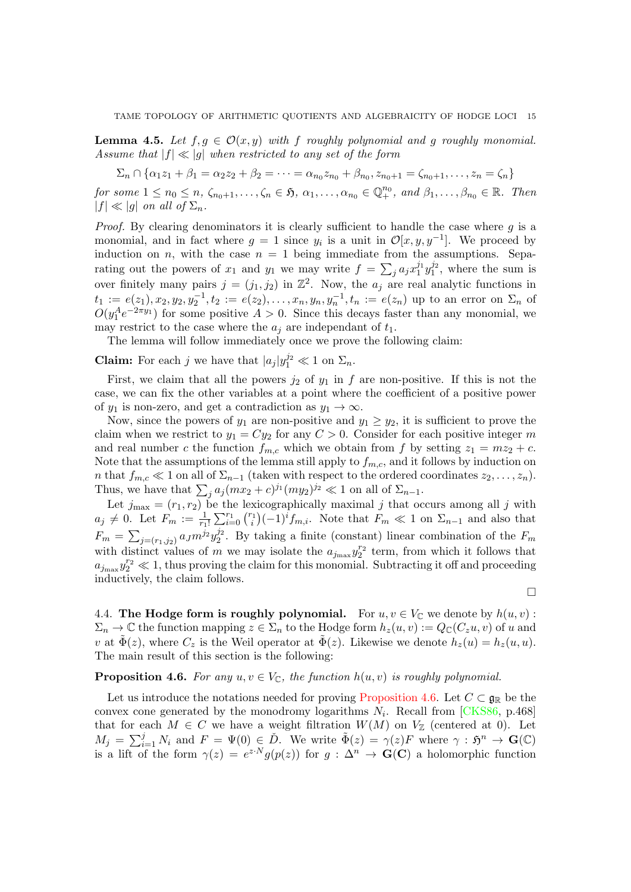**Lemma 4.5.** Let  $f, g \in \mathcal{O}(x, y)$  with f roughly polynomial and g roughly monomial. Assume that  $|f| \ll |g|$  when restricted to any set of the form

 $\Sigma_n \cap \{ \alpha_1 z_1 + \beta_1 = \alpha_2 z_2 + \beta_2 = \cdots = \alpha_{n_0} z_{n_0} + \beta_{n_0}, z_{n_0+1} = \zeta_{n_0+1}, \ldots, z_n = \zeta_n \}$ for some  $1 \leq n_0 \leq n$ ,  $\zeta_{n_0+1}, \ldots, \zeta_n \in \mathfrak{H}$ ,  $\alpha_1, \ldots, \alpha_{n_0} \in \mathbb{Q}_+^{n_0}$ , and  $\beta_1, \ldots, \beta_{n_0} \in \mathbb{R}$ . Then  $|f| \ll |g|$  on all of  $\Sigma_n$ .

*Proof.* By clearing denominators it is clearly sufficient to handle the case where  $q$  is a monomial, and in fact where  $g = 1$  since  $y_i$  is a unit in  $\mathcal{O}[x, y, y^{-1}]$ . We proceed by induction on n, with the case  $n = 1$  being immediate from the assumptions. Separating out the powers of  $x_1$  and  $y_1$  we may write  $f = \sum_j a_j x_1^{j_1} y_1^{j_2}$ , where the sum is over finitely many pairs  $j = (j_1, j_2)$  in  $\mathbb{Z}^2$ . Now, the  $a_j$  are real analytic functions in  $t_1 := e(z_1), x_2, y_2, y_2^{-1}, t_2 := e(z_2), \ldots, x_n, y_n, y_n^{-1}, t_n := e(z_n)$  up to an error on  $\Sigma_n$  of  $O(y_1^A e^{-2\pi y_1})$  for some positive  $A > 0$ . Since this decays faster than any monomial, we may restrict to the case where the  $a_i$  are independant of  $t_1$ .

The lemma will follow immediately once we prove the following claim:

**Claim:** For each j we have that  $|a_j|y_1^{j_2} \ll 1$  on  $\Sigma_n$ .

First, we claim that all the powers  $j_2$  of  $y_1$  in f are non-positive. If this is not the case, we can fix the other variables at a point where the coefficient of a positive power of  $y_1$  is non-zero, and get a contradiction as  $y_1 \rightarrow \infty$ .

Now, since the powers of  $y_1$  are non-positive and  $y_1 \ge y_2$ , it is sufficient to prove the claim when we restrict to  $y_1 = Cy_2$  for any  $C > 0$ . Consider for each positive integer m and real number c the function  $f_{m,c}$  which we obtain from f by setting  $z_1 = mz_2 + c$ . Note that the assumptions of the lemma still apply to  $f_{m,c}$ , and it follows by induction on n that  $f_{m,c} \ll 1$  on all of  $\Sigma_{n-1}$  (taken with respect to the ordered coordinates  $z_2, \ldots, z_n$ ). Thus, we have that  $\sum_j a_j (m x_2 + c)^{j_1} (m y_2)^{j_2} \ll 1$  on all of  $\Sigma_{n-1}$ .

Let  $j_{\text{max}} = (r_1, r_2)$  be the lexicographically maximal j that occurs among all j with  $a_j \neq 0$ . Let  $F_m := \frac{1}{r_1!} \sum_{i=0}^{r_1} {r_1 \choose i} (-1)^i f_{m,i}$ . Note that  $F_m \ll 1$  on  $\Sigma_{n-1}$  and also that  $F_m = \sum_{j=(r_1,j_2)} a_j m^{j_2} y_2^{j_2}$ . By taking a finite (constant) linear combination of the  $F_m$ with distinct values of m we may isolate the  $a_{j_{\text{max}}}y_2^{r_2}$  term, from which it follows that  $a_{j_{\text{max}}}y_2^{r_2} \ll 1$ , thus proving the claim for this monomial. Subtracting it off and proceeding inductively, the claim follows.

 $\Box$ 

4.4. The Hodge form is roughly polynomial. For  $u, v \in V_{\mathbb{C}}$  we denote by  $h(u, v)$ :  $\Sigma_n \to \mathbb{C}$  the function mapping  $z \in \Sigma_n$  to the Hodge form  $h_z(u, v) := Q_{\mathbb{C}}(C_zu, v)$  of u and v at  $\tilde{\Phi}(z)$ , where  $C_z$  is the Weil operator at  $\tilde{\Phi}(z)$ . Likewise we denote  $h_z(u) = h_z(u, u)$ . The main result of this section is the following:

## <span id="page-14-0"></span>**Proposition 4.6.** For any  $u, v \in V_{\mathbb{C}}$ , the function  $h(u, v)$  is roughly polynomial.

Let us introduce the notations needed for proving [Proposition 4.6.](#page-14-0) Let  $C \subset \mathfrak{g}_{\mathbb{R}}$  be the convex cone generated by the monodromy logarithms  $N_i$ . Recall from [\[CKS86,](#page-20-3) p.468] that for each  $M \in C$  we have a weight filtration  $W(M)$  on  $V_{\mathbb{Z}}$  (centered at 0). Let  $M_j = \sum_{i=1}^j N_i$  and  $F = \Psi(0) \in \check{D}$ . We write  $\tilde{\Phi}(z) = \gamma(z)F$  where  $\gamma : \mathfrak{H}^n \to \mathbf{G}(\mathbb{C})$ is a lift of the form  $\gamma(z) = e^{z \cdot N} g(p(z))$  for  $g : \Delta^n \to \mathbf{G}(\mathbf{C})$  a holomorphic function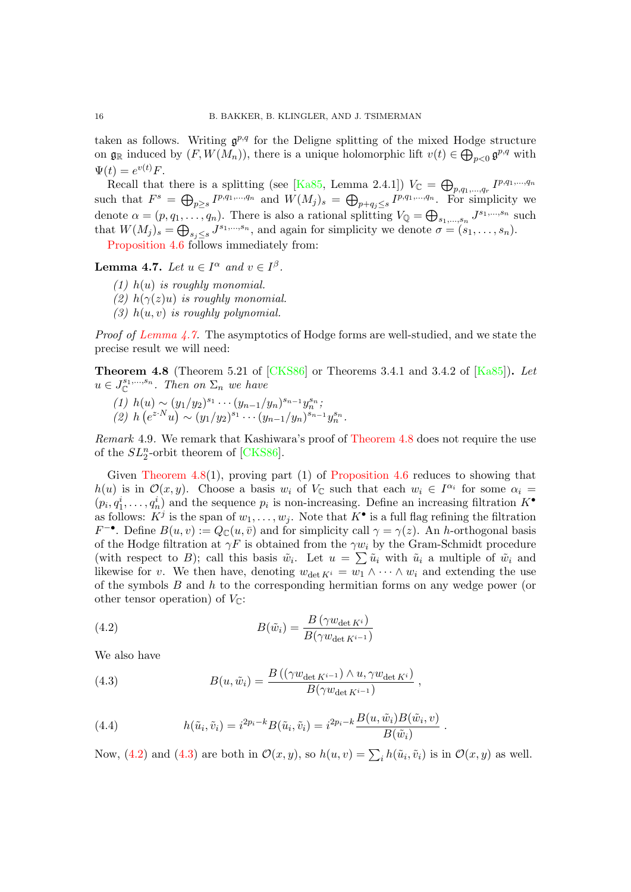taken as follows. Writing  $\mathfrak{g}^{p,q}$  for the Deligne splitting of the mixed Hodge structure on  $\mathfrak{g}_{\mathbb{R}}$  induced by  $(F, W(M_n))$ , there is a unique holomorphic lift  $v(t) \in \bigoplus_{p<0} \mathfrak{g}^{p,q}$  with  $\Psi(t) = e^{v(t)}F.$ 

Recall that there is a splitting (see [\[Ka85,](#page-21-13) Lemma 2.4.1])  $V_{\mathbb{C}} = \bigoplus_{p,q_1,\dots,q_r} I^{p,q_1,\dots,q_n}$ such that  $F^s = \bigoplus_{p \geq s} I^{p,q_1,...,q_n}$  and  $W(M_j)_s = \bigoplus_{p+q_j \leq s} I^{p,q_1,...,q_n}$ . For simplicity we denote  $\alpha = (p, q_1, \ldots, q_n)$ . There is also a rational splitting  $V_{\mathbb{Q}} = \bigoplus_{s_1, \ldots, s_n} J^{s_1, \ldots, s_n}$  such that  $W(M_j)_s = \bigoplus_{s_j \leq s} J^{s_1,\ldots,s_n}$ , and again for simplicity we denote  $\sigma = (s_1, \ldots, s_n)$ .

[Proposition 4.6](#page-14-0) follows immediately from:

<span id="page-15-0"></span>**Lemma 4.7.** Let  $u \in I^{\alpha}$  and  $v \in I^{\beta}$ .

- $(1)$  h $(u)$  is roughly monomial.
- (2)  $h(\gamma(z)u)$  is roughly monomial.
- (3)  $h(u, v)$  is roughly polynomial.

Proof of [Lemma 4.7.](#page-15-0) The asymptotics of Hodge forms are well-studied, and we state the precise result we will need:

<span id="page-15-1"></span>**Theorem 4.8** (Theorem 5.21 of  $[CKS86]$  or Theorems 3.4.1 and 3.4.2 of  $[Ka85]$ ). Let  $u \in J_{\mathbb{C}}^{s_1,\dots,s_n}$ . Then on  $\Sigma_n$  we have

(1) 
$$
h(u) \sim (y_1/y_2)^{s_1} \cdots (y_{n-1}/y_n)^{s_{n-1}} y_n^{s_n};
$$
  
(2)  $h(e^{z \cdot N}u) \sim (y_1/y_2)^{s_1} \cdots (y_{n-1}/y_n)^{s_{n-1}} y_n^{s_n}.$ 

Remark 4.9. We remark that Kashiwara's proof of [Theorem 4.8](#page-15-1) does not require the use of the  $SL_2^n$ -orbit theorem of [\[CKS86\]](#page-20-3).

Given Theorem  $4.8(1)$ , proving part  $(1)$  of [Proposition 4.6](#page-14-0) reduces to showing that  $h(u)$  is in  $\mathcal{O}(x,y)$ . Choose a basis  $w_i$  of  $V_{\mathbb{C}}$  such that each  $w_i \in I^{\alpha_i}$  for some  $\alpha_i =$  $(p_i, q_1^i, \ldots, q_n^i)$  and the sequence  $p_i$  is non-increasing. Define an increasing filtration  $K^{\bullet}$ as follows:  $K^j$  is the span of  $w_1, \ldots, w_j$ . Note that  $K^{\bullet}$  is a full flag refining the filtration  $F^{-\bullet}$ . Define  $B(u, v) := Q_{\mathbb{C}}(u, \bar{v})$  and for simplicity call  $\gamma = \gamma(z)$ . An h-orthogonal basis of the Hodge filtration at  $\gamma F$  is obtained from the  $\gamma w_i$  by the Gram-Schmidt procedure (with respect to B); call this basis  $\tilde{w}_i$ . Let  $u = \sum \tilde{u}_i$  with  $\tilde{u}_i$  a multiple of  $\tilde{w}_i$  and likewise for v. We then have, denoting  $w_{\det K^i} = w_1 \wedge \cdots \wedge w_i$  and extending the use of the symbols  $B$  and  $h$  to the corresponding hermitian forms on any wedge power (or other tensor operation) of  $V_{\mathbb{C}}$ :

<span id="page-15-2"></span>(4.2) 
$$
B(\tilde{w}_i) = \frac{B(\gamma w_{\det K^i})}{B(\gamma w_{\det K^{i-1}})}
$$

We also have

<span id="page-15-3"></span>(4.3) 
$$
B(u, \tilde{w}_i) = \frac{B\left((\gamma w_{\det K^{i-1}}) \wedge u, \gamma w_{\det K^i}\right)}{B(\gamma w_{\det K^{i-1}})},
$$

<span id="page-15-4"></span>(4.4) 
$$
h(\tilde{u}_i, \tilde{v}_i) = i^{2p_i - k} B(\tilde{u}_i, \tilde{v}_i) = i^{2p_i - k} \frac{B(u, \tilde{w}_i)B(\tilde{w}_i, v)}{B(\tilde{w}_i)}
$$

Now, [\(4.2\)](#page-15-2) and [\(4.3\)](#page-15-3) are both in  $\mathcal{O}(x, y)$ , so  $h(u, v) = \sum_i h(\tilde{u}_i, \tilde{v}_i)$  is in  $\mathcal{O}(x, y)$  as well.

.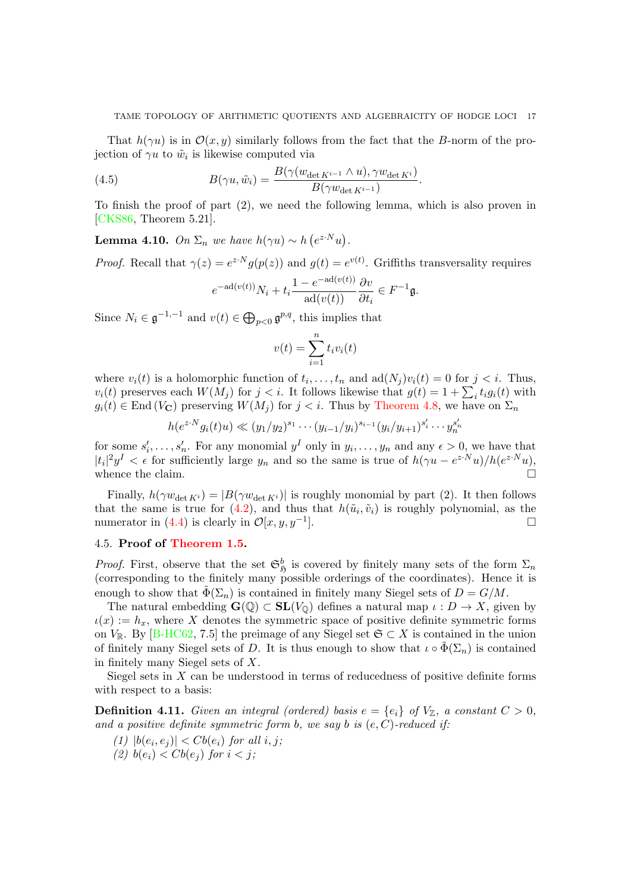That  $h(\gamma u)$  is in  $\mathcal{O}(x, y)$  similarly follows from the fact that the B-norm of the projection of  $\gamma u$  to  $\tilde{w}_i$  is likewise computed via

(4.5) 
$$
B(\gamma u, \tilde{w}_i) = \frac{B(\gamma(w_{\det K^{i-1}} \wedge u), \gamma w_{\det K^i})}{B(\gamma w_{\det K^{i-1}})}.
$$

To finish the proof of part (2), we need the following lemma, which is also proven in [\[CKS86,](#page-20-3) Theorem 5.21].

**Lemma 4.10.** On  $\Sigma_n$  we have  $h(\gamma u) \sim h(e^{z \cdot N} u)$ .

*Proof.* Recall that  $\gamma(z) = e^{z \cdot N} g(p(z))$  and  $g(t) = e^{v(t)}$ . Griffiths transversality requires

$$
e^{-\mathrm{ad}(v(t))}N_i + t_i \frac{1 - e^{-\mathrm{ad}(v(t))}}{\mathrm{ad}(v(t))} \frac{\partial v}{\partial t_i} \in F^{-1}\mathfrak{g}.
$$

Since  $N_i \in \mathfrak{g}^{-1,-1}$  and  $v(t) \in \bigoplus_{p<0} \mathfrak{g}^{p,q}$ , this implies that

$$
v(t) = \sum_{i=1}^{n} t_i v_i(t)
$$

where  $v_i(t)$  is a holomorphic function of  $t_i, \ldots, t_n$  and  $ad(N_j)v_i(t) = 0$  for  $j < i$ . Thus,  $v_i(t)$  preserves each  $W(M_j)$  for  $j < i$ . It follows likewise that  $g(t) = 1 + \sum_i t_i g_i(t)$  with  $g_i(t) \in \text{End}(V_{\mathbf{C}})$  preserving  $W(M_i)$  for  $j < i$ . Thus by [Theorem 4.8,](#page-15-1) we have on  $\Sigma_n$ 

$$
h(e^{z \cdot N} g_i(t)u) \ll (y_1/y_2)^{s_1} \cdots (y_{i-1}/y_i)^{s_{i-1}} (y_i/y_{i+1})^{s'_i} \cdots y_n^{s'_n}
$$

for some  $s'_i, \ldots, s'_n$ . For any monomial  $y^I$  only in  $y_i, \ldots, y_n$  and any  $\epsilon > 0$ , we have that  $|t_i|^2 y^I < \epsilon$  for sufficiently large  $y_n$  and so the same is true of  $h(\gamma u - e^{z \cdot N} u)/h(e^{z \cdot N} u)$ , whence the claim.  $\hfill \square$ 

Finally,  $h(\gamma w_{\det K^i}) = |B(\gamma w_{\det K^i})|$  is roughly monomial by part (2). It then follows that the same is true for [\(4.2\)](#page-15-2), and thus that  $h(\tilde{u}_i, \tilde{v}_i)$  is roughly polynomial, as the numerator in [\(4.4\)](#page-15-4) is clearly in  $\mathcal{O}[x, y, y^{-1}]$ . ].

## 4.5. Proof of [Theorem 1.5.](#page-4-1)

*Proof.* First, observe that the set  $\mathfrak{S}_{\mathfrak{H}}^b$  is covered by finitely many sets of the form  $\Sigma_n$ (corresponding to the finitely many possible orderings of the coordinates). Hence it is enough to show that  $\tilde{\Phi}(\Sigma_n)$  is contained in finitely many Siegel sets of  $D = G/M$ .

The natural embedding  $\mathbf{G}(\mathbb{Q}) \subset \mathbf{SL}(V_{\mathbb{Q}})$  defines a natural map  $\iota: D \to X$ , given by  $u(x) := h_x$ , where X denotes the symmetric space of positive definite symmetric forms on  $V_{\mathbb{R}}$ . By [\[B-HC62,](#page-20-14) 7.5] the preimage of any Siegel set  $\mathfrak{S} \subset X$  is contained in the union of finitely many Siegel sets of D. It is thus enough to show that  $\iota \circ \tilde{\Phi}(\Sigma_n)$  is contained in finitely many Siegel sets of X.

Siegel sets in X can be understood in terms of reducedness of positive definite forms with respect to a basis:

<span id="page-16-0"></span>**Definition 4.11.** Given an integral (ordered) basis  $e = \{e_i\}$  of  $V_{\mathbb{Z}}$ , a constant  $C > 0$ , and a positive definite symmetric form b, we say b is  $(e, C)$ -reduced if:

(1)  $|b(e_i, e_j)| < Cb(e_i)$  for all  $i, j;$ 

(2)  $b(e_i) < Cb(e_i)$  for  $i < j$ ;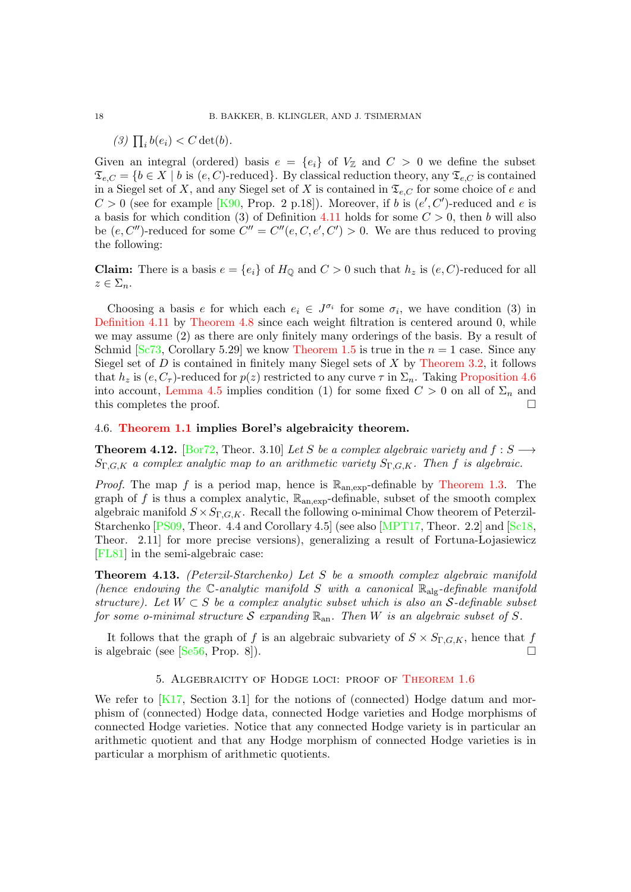(3)  $\prod_i b(e_i) < C \det(b)$ .

Given an integral (ordered) basis  $e = \{e_i\}$  of  $V_\mathbb{Z}$  and  $C > 0$  we define the subset  $\mathfrak{T}_{e,C} = \{b \in X \mid b \text{ is } (e, C)\text{-reduced}\}.$  By classical reduction theory, any  $\mathfrak{T}_{e,C}$  is contained in a Siegel set of X, and any Siegel set of X is contained in  $\mathfrak{T}_{e,C}$  for some choice of e and  $C > 0$  (see for example [\[K90,](#page-21-20) Prop. 2 p.18]). Moreover, if b is  $(e', C')$ -reduced and e is a basis for which condition (3) of Definition [4.11](#page-16-0) holds for some  $C > 0$ , then b will also be  $(e, C'')$ -reduced for some  $C'' = C''(e, C, e', C') > 0$ . We are thus reduced to proving the following:

**Claim:** There is a basis  $e = \{e_i\}$  of  $H_{\mathbb{Q}}$  and  $C > 0$  such that  $h_z$  is  $(e, C)$ -reduced for all  $z \in \Sigma_n$ .

Choosing a basis e for which each  $e_i \in J^{\sigma_i}$  for some  $\sigma_i$ , we have condition (3) in [Definition 4.11](#page-16-0) by [Theorem 4.8](#page-15-1) since each weight filtration is centered around 0, while we may assume (2) as there are only finitely many orderings of the basis. By a result of Schmid  $[Sc73, Corollary 5.29]$  we know [Theorem 1.5](#page-4-1) is true in the  $n = 1$  case. Since any Siegel set of  $D$  is contained in finitely many Siegel sets of  $X$  by [Theorem 3.2,](#page-11-0) it follows that  $h_z$  is  $(e, C_\tau)$ -reduced for  $p(z)$  restricted to any curve  $\tau$  in  $\Sigma_n$ . Taking [Proposition 4.6](#page-14-0) into account, [Lemma 4.5](#page-13-1) implies condition (1) for some fixed  $C > 0$  on all of  $\Sigma_n$  and this completes the proof.

## <span id="page-17-0"></span>4.6. [Theorem 1.1](#page-2-0) implies Borel's algebraicity theorem.

**Theorem 4.12.** [\[Bor72,](#page-20-2) Theor. 3.10] Let S be a complex algebraic variety and  $f : S \longrightarrow$  $S_{\Gamma,G,K}$  a complex analytic map to an arithmetic variety  $S_{\Gamma,G,K}$ . Then f is algebraic.

*Proof.* The map f is a period map, hence is  $\mathbb{R}_{an,exp}$ -definable by [Theorem 1.3.](#page-4-0) The graph of f is thus a complex analytic,  $\mathbb{R}_{an,exp}$ -definable, subset of the smooth complex algebraic manifold  $S \times S_{\Gamma,G,K}$ . Recall the following o-minimal Chow theorem of Peterzil-Starchenko [\[PS09,](#page-21-21) Theor. 4.4 and Corollary 4.5] (see also [\[MPT17,](#page-21-2) Theor. 2.2] and [\[Sc18,](#page-22-12) Theor. 2.11 for more precise versions), generalizing a result of Fortuna-Lojasiewicz [\[FL81\]](#page-21-22) in the semi-algebraic case:

<span id="page-17-1"></span>Theorem 4.13. (Peterzil-Starchenko) Let S be a smooth complex algebraic manifold (hence endowing the C-analytic manifold S with a canonical  $\mathbb{R}_{\text{ale}}$ -definable manifold structure). Let  $W \subset S$  be a complex analytic subset which is also an S-definable subset for some o-minimal structure S expanding  $\mathbb{R}_{an}$ . Then W is an algebraic subset of S.

It follows that the graph of f is an algebraic subvariety of  $S \times S_{\Gamma,G,K}$ , hence that f is algebraic (see [\[Se56,](#page-22-13) Prop. 8]).

#### 5. Algebraicity of Hodge loci: proof of [Theorem 1.6](#page-5-0)

We refer to [\[K17,](#page-21-11) Section 3.1] for the notions of (connected) Hodge datum and morphism of (connected) Hodge data, connected Hodge varieties and Hodge morphisms of connected Hodge varieties. Notice that any connected Hodge variety is in particular an arithmetic quotient and that any Hodge morphism of connected Hodge varieties is in particular a morphism of arithmetic quotients.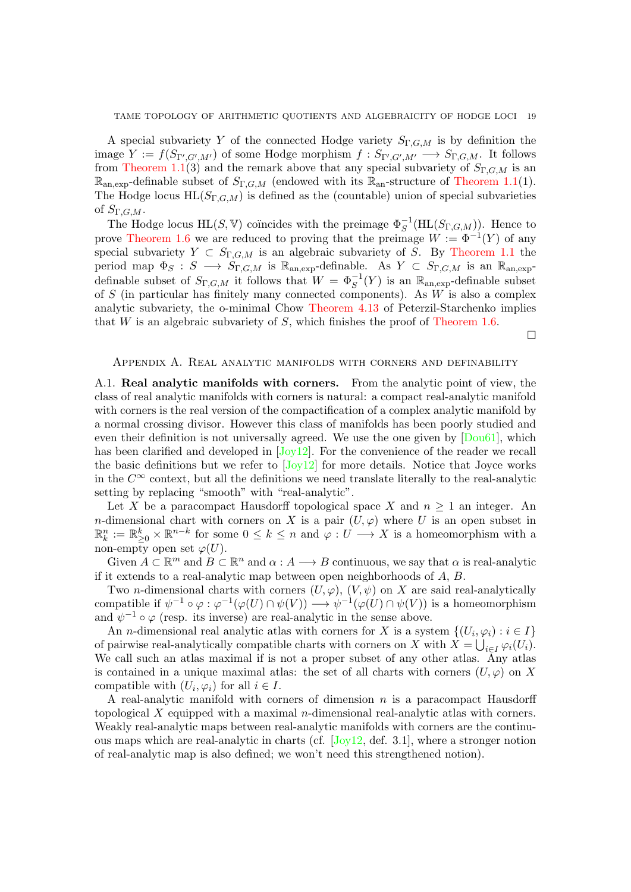A special subvariety Y of the connected Hodge variety  $S_{\Gamma,G,M}$  is by definition the image  $Y := f(S_{\Gamma', G', M'})$  of some Hodge morphism  $f: S_{\Gamma', G', M'} \longrightarrow S_{\Gamma, G, M}$ . It follows from [Theorem 1.1\(](#page-2-0)3) and the remark above that any special subvariety of  $S_{\Gamma,G,M}$  is an  $\mathbb{R}_{\text{an,exp}}$ -definable subset of  $S_{\Gamma,G,M}$  (endowed with its  $\mathbb{R}_{\text{an}}$ -structure of [Theorem 1.1\(](#page-2-0)1). The Hodge locus  $HL(S_{\Gamma,G,M})$  is defined as the (countable) union of special subvarieties of  $S_{\Gamma,G,M}$ .

The Hodge locus HL(S, V) coincides with the preimage  $\Phi_S^{-1}(\text{HL}(S_{\Gamma,G,M}))$ . Hence to prove [Theorem 1.6](#page-5-0) we are reduced to proving that the preimage  $W := \Phi^{-1}(Y)$  of any special subvariety  $Y \subset S_{\Gamma,G,M}$  is an algebraic subvariety of S. By [Theorem 1.1](#page-2-0) the period map  $\Phi_S : S \longrightarrow S_{\Gamma,G,M}$  is  $\mathbb{R}_{\text{an,exp}}$ -definable. As  $Y \subset S_{\Gamma,G,M}$  is an  $\mathbb{R}_{\text{an,exp}}$ definable subset of  $S_{\Gamma,G,M}$  it follows that  $W = \Phi_S^{-1}(Y)$  is an  $\mathbb{R}_{\text{an,exp}}$ -definable subset of  $S$  (in particular has finitely many connected components). As  $W$  is also a complex analytic subvariety, the o-minimal Chow [Theorem 4.13](#page-17-1) of Peterzil-Starchenko implies that  $W$  is an algebraic subvariety of  $S$ , which finishes the proof of [Theorem 1.6.](#page-5-0)

 $\Box$ 

#### Appendix A. Real analytic manifolds with corners and definability

A.1. Real analytic manifolds with corners. From the analytic point of view, the class of real analytic manifolds with corners is natural: a compact real-analytic manifold with corners is the real version of the compactification of a complex analytic manifold by a normal crossing divisor. However this class of manifolds has been poorly studied and even their definition is not universally agreed. We use the one given by [\[Dou61\]](#page-21-23), which has been clarified and developed in [\[Joy12\]](#page-21-24). For the convenience of the reader we recall the basic definitions but we refer to  $Jov12$  for more details. Notice that Joyce works in the  $C^{\infty}$  context, but all the definitions we need translate literally to the real-analytic setting by replacing "smooth" with "real-analytic".

Let X be a paracompact Hausdorff topological space X and  $n \geq 1$  an integer. An n-dimensional chart with corners on X is a pair  $(U, \varphi)$  where U is an open subset in  $\mathbb{R}_k^n := \mathbb{R}_{\geq 0}^k \times \mathbb{R}^{n-k}$  for some  $0 \leq k \leq n$  and  $\varphi: U \longrightarrow X$  is a homeomorphism with a non-empty open set  $\varphi(U)$ .

Given  $A \subset \mathbb{R}^m$  and  $B \subset \mathbb{R}^n$  and  $\alpha : A \longrightarrow B$  continuous, we say that  $\alpha$  is real-analytic if it extends to a real-analytic map between open neighborhoods of  $A, B$ .

Two *n*-dimensional charts with corners  $(U, \varphi), (V, \psi)$  on X are said real-analytically compatible if  $\psi^{-1} \circ \varphi : \varphi^{-1}(\varphi(U) \cap \psi(V)) \longrightarrow \psi^{-1}(\varphi(U) \cap \psi(V))$  is a homeomorphism and  $\psi^{-1} \circ \varphi$  (resp. its inverse) are real-analytic in the sense above.

An *n*-dimensional real analytic atlas with corners for X is a system  $\{(U_i, \varphi_i) : i \in I\}$ of pairwise real-analytically compatible charts with corners on X with  $X = \bigcup_{i \in I} \varphi_i(U_i)$ . We call such an atlas maximal if is not a proper subset of any other atlas. Any atlas is contained in a unique maximal atlas: the set of all charts with corners  $(U, \varphi)$  on X compatible with  $(U_i, \varphi_i)$  for all  $i \in I$ .

A real-analytic manifold with corners of dimension  $n$  is a paracompact Hausdorff topological  $X$  equipped with a maximal *n*-dimensional real-analytic atlas with corners. Weakly real-analytic maps between real-analytic manifolds with corners are the continuous maps which are real-analytic in charts (cf. [\[Joy12,](#page-21-24) def. 3.1], where a stronger notion of real-analytic map is also defined; we won't need this strengthened notion).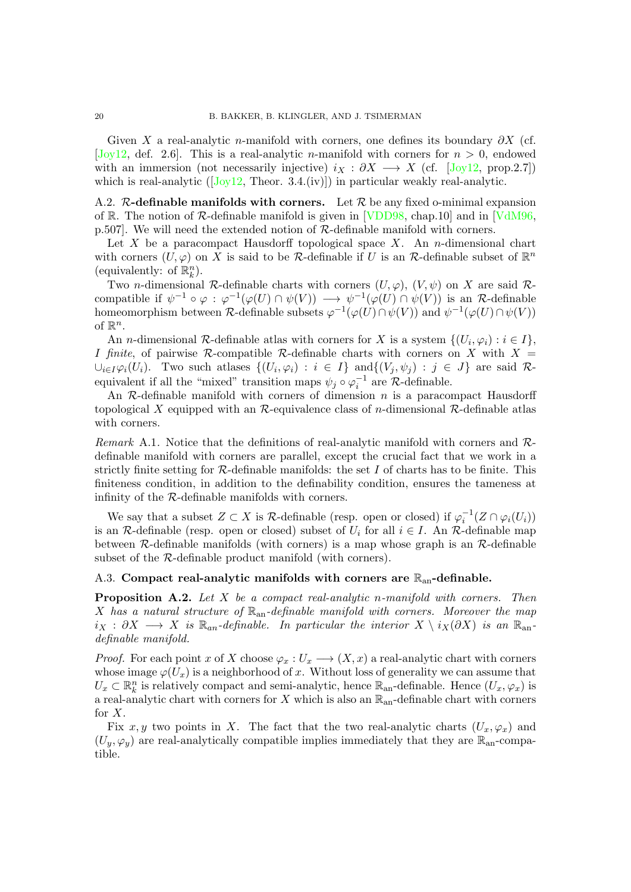Given X a real-analytic n-manifold with corners, one defines its boundary  $\partial X$  (cf. [\[Joy12,](#page-21-24) def. 2.6]. This is a real-analytic *n*-manifold with corners for  $n > 0$ , endowed with an immersion (not necessarily injective)  $i_X : \partial X \longrightarrow X$  (cf. [\[Joy12,](#page-21-24) prop.2.7]) which is real-analytic ( $[Joy12, Theor. 3.4.(iv)]$  $[Joy12, Theor. 3.4.(iv)]$ ) in particular weakly real-analytic.

A.2. R-definable manifolds with corners. Let  $R$  be any fixed o-minimal expansion of R. The notion of R-definable manifold is given in [\[VDD98,](#page-21-17) chap.10] and in [\[VdM96,](#page-21-25) p.507]. We will need the extended notion of R-definable manifold with corners.

Let X be a paracompact Hausdorff topological space X. An n-dimensional chart with corners  $(U, \varphi)$  on X is said to be R-definable if U is an R-definable subset of  $\mathbb{R}^n$ (equivalently: of  $\mathbb{R}_k^n$ ).

Two *n*-dimensional R-definable charts with corners  $(U, \varphi)$ ,  $(V, \psi)$  on X are said Rcompatible if  $\psi^{-1} \circ \varphi : \varphi^{-1}(\varphi(U) \cap \psi(V)) \longrightarrow \psi^{-1}(\varphi(U) \cap \psi(V))$  is an R-definable homeomorphism between R-definable subsets  $\varphi^{-1}(\varphi(U) \cap \psi(V))$  and  $\psi^{-1}(\varphi(U) \cap \psi(V))$ of  $\mathbb{R}^n$ .

An *n*-dimensional R-definable atlas with corners for X is a system  $\{(U_i, \varphi_i) : i \in I\}$ , I finite, of pairwise R-compatible R-definable charts with corners on X with  $X =$  $\cup_{i\in I}\varphi_i(U_i)$ . Two such atlases  $\{(U_i,\varphi_i)\,:\,i\,\in\,I\}$  and  $\{(V_j,\psi_j)\,:\,j\,\in\,J\}$  are said Requivalent if all the "mixed" transition maps  $\psi_j \circ \varphi_i^{-1}$  are  $\mathcal{R}$ -definable.

An  $\mathcal R$ -definable manifold with corners of dimension n is a paracompact Hausdorff topological X equipped with an  $\mathcal{R}$ -equivalence class of *n*-dimensional  $\mathcal{R}$ -definable atlas with corners.

Remark A.1. Notice that the definitions of real-analytic manifold with corners and Rdefinable manifold with corners are parallel, except the crucial fact that we work in a strictly finite setting for  $\mathcal{R}\text{-}$  definable manifolds: the set I of charts has to be finite. This finiteness condition, in addition to the definability condition, ensures the tameness at infinity of the  $R$ -definable manifolds with corners.

We say that a subset  $Z \subset X$  is R-definable (resp. open or closed) if  $\varphi_i^{-1}(Z \cap \varphi_i(U_i))$ is an R-definable (resp. open or closed) subset of  $U_i$  for all  $i \in I$ . An R-definable map between  $\mathcal{R}$ -definable manifolds (with corners) is a map whose graph is an  $\mathcal{R}$ -definable subset of the R-definable product manifold (with corners).

## A.3. Compact real-analytic manifolds with corners are  $\mathbb{R}_{\text{an}}$ -definable.

<span id="page-19-0"></span>**Proposition A.2.** Let  $X$  be a compact real-analytic n-manifold with corners. Then X has a natural structure of  $\mathbb{R}_{an}$ -definable manifold with corners. Moreover the map  $i_X : \partial X \longrightarrow X$  is  $\mathbb{R}_{an}$ -definable. In particular the interior  $X \setminus i_X(\partial X)$  is an  $\mathbb{R}_{an}$ definable manifold.

*Proof.* For each point x of X choose  $\varphi_x : U_x \longrightarrow (X, x)$  a real-analytic chart with corners whose image  $\varphi(U_x)$  is a neighborhood of x. Without loss of generality we can assume that  $U_x \subset \mathbb{R}^n_k$  is relatively compact and semi-analytic, hence  $\mathbb{R}_{\text{an}}$ -definable. Hence  $(U_x, \varphi_x)$  is a real-analytic chart with corners for  $X$  which is also an  $\mathbb{R}_{\text{an}}$ -definable chart with corners for  $X$ .

Fix x, y two points in X. The fact that the two real-analytic charts  $(U_x, \varphi_x)$  and  $(U_y, \varphi_y)$  are real-analytically compatible implies immediately that they are  $\mathbb{R}_{\text{an}}$ -compatible.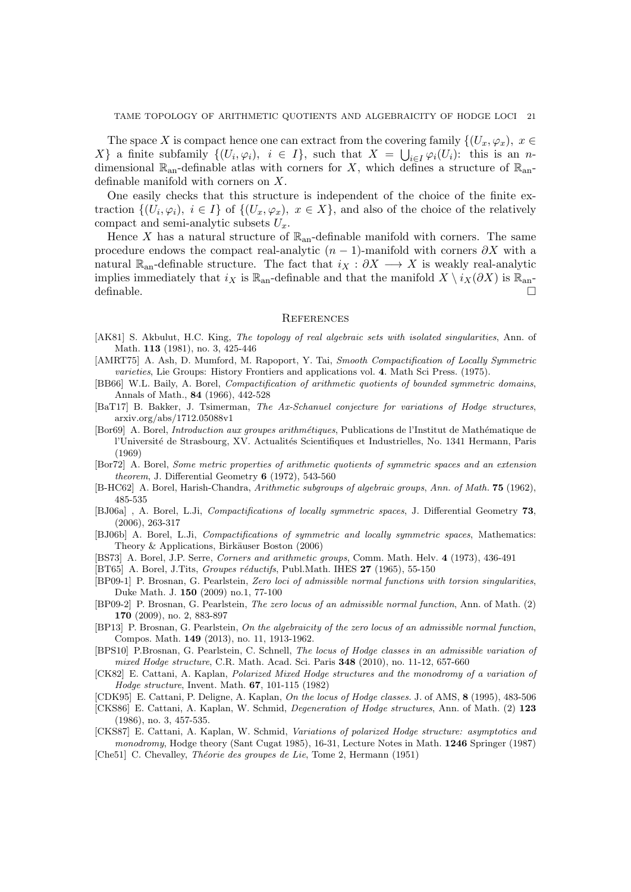The space X is compact hence one can extract from the covering family  $\{(U_x, \varphi_x), x \in$ X a finite subfamily  $\{(U_i, \varphi_i), i \in I\}$ , such that  $X = \bigcup_{i \in I} \varphi_i(U_i)$ : this is an ndimensional  $\mathbb{R}_{\text{an}}$ -definable atlas with corners for X, which defines a structure of  $\mathbb{R}_{\text{an}}$ definable manifold with corners on X.

One easily checks that this structure is independent of the choice of the finite extraction  $\{(U_i, \varphi_i), i \in I\}$  of  $\{(U_x, \varphi_x), x \in X\}$ , and also of the choice of the relatively compact and semi-analytic subsets  $U_x$ .

Hence X has a natural structure of  $\mathbb{R}_{\text{an}}$ -definable manifold with corners. The same procedure endows the compact real-analytic  $(n-1)$ -manifold with corners  $\partial X$  with a natural  $\mathbb{R}_{\text{an}}$ -definable structure. The fact that  $i_X : \partial X \longrightarrow X$  is weakly real-analytic implies immediately that  $i_X$  is R<sub>an</sub>-definable and that the manifold  $X \setminus i_X(\partial X)$  is R<sub>an</sub>definable.

### **REFERENCES**

- <span id="page-20-0"></span>[AK81] S. Akbulut, H.C. King, The topology of real algebraic sets with isolated singularities, Ann. of Math. 113 (1981), no. 3, 425-446
- <span id="page-20-1"></span>[AMRT75] A. Ash, D. Mumford, M. Rapoport, Y. Tai, Smooth Compactification of Locally Symmetric varieties, Lie Groups: History Frontiers and applications vol. 4. Math Sci Press. (1975).
- [BB66] W.L. Baily, A. Borel, Compactification of arithmetic quotients of bounded symmetric domains, Annals of Math., 84 (1966), 442-528
- <span id="page-20-5"></span>[BaT17] B. Bakker, J. Tsimerman, The Ax-Schanuel conjecture for variations of Hodge structures, arxiv.org/abs/1712.05088v1
- <span id="page-20-12"></span>[Bor69] A. Borel, *Introduction aux groupes arithmétiques*, Publications de l'Institut de Mathématique de l'Université de Strasbourg, XV. Actualités Scientifiques et Industrielles, No. 1341 Hermann, Paris (1969)
- <span id="page-20-2"></span>[Bor72] A. Borel, Some metric properties of arithmetic quotients of symmetric spaces and an extension theorem, J. Differential Geometry  $6$  (1972), 543-560
- <span id="page-20-14"></span>[B-HC62] A. Borel, Harish-Chandra, Arithmetic subgroups of algebraic groups, Ann. of Math. 75 (1962), 485-535
- <span id="page-20-11"></span>[BJ06a] , A. Borel, L.Ji, Compactifications of locally symmetric spaces, J. Differential Geometry 73, (2006), 263-317
- [BJ06b] A. Borel, L.Ji, Compactifications of symmetric and locally symmetric spaces, Mathematics: Theory & Applications, Birkäuser Boston (2006)
- <span id="page-20-13"></span>[BS73] A. Borel, J.P. Serre, Corners and arithmetic groups, Comm. Math. Helv. 4 (1973), 436-491
- [BT65] A. Borel, J.Tits, *Groupes réductifs*, Publ.Math. IHES  $27$  (1965), 55-150
- <span id="page-20-6"></span>[BP09-1] P. Brosnan, G. Pearlstein, Zero loci of admissible normal functions with torsion singularities, Duke Math. J. 150 (2009) no.1, 77-100
- <span id="page-20-7"></span>[BP09-2] P. Brosnan, G. Pearlstein, The zero locus of an admissible normal function, Ann. of Math. (2) 170 (2009), no. 2, 883-897
- <span id="page-20-8"></span>[BP13] P. Brosnan, G. Pearlstein, On the algebraicity of the zero locus of an admissible normal function, Compos. Math. 149 (2013), no. 11, 1913-1962.
- <span id="page-20-9"></span>[BPS10] P.Brosnan, G. Pearlstein, C. Schnell, The locus of Hodge classes in an admissible variation of mixed Hodge structure, C.R. Math. Acad. Sci. Paris 348 (2010), no. 11-12, 657-660
- [CK82] E. Cattani, A. Kaplan, Polarized Mixed Hodge structures and the monodromy of a variation of Hodge structure, Invent. Math. 67, 101-115 (1982)
- <span id="page-20-4"></span>[CDK95] E. Cattani, P. Deligne, A. Kaplan, On the locus of Hodge classes. J. of AMS, 8 (1995), 483-506
- <span id="page-20-3"></span>[CKS86] E. Cattani, A. Kaplan, W. Schmid, Degeneration of Hodge structures, Ann. of Math. (2) 123 (1986), no. 3, 457-535.
- <span id="page-20-10"></span>[CKS87] E. Cattani, A. Kaplan, W. Schmid, Variations of polarized Hodge structure: asymptotics and monodromy, Hodge theory (Sant Cugat 1985), 16-31, Lecture Notes in Math. 1246 Springer (1987) [Che51] C. Chevalley, *Théorie des groupes de Lie*, Tome 2, Hermann (1951)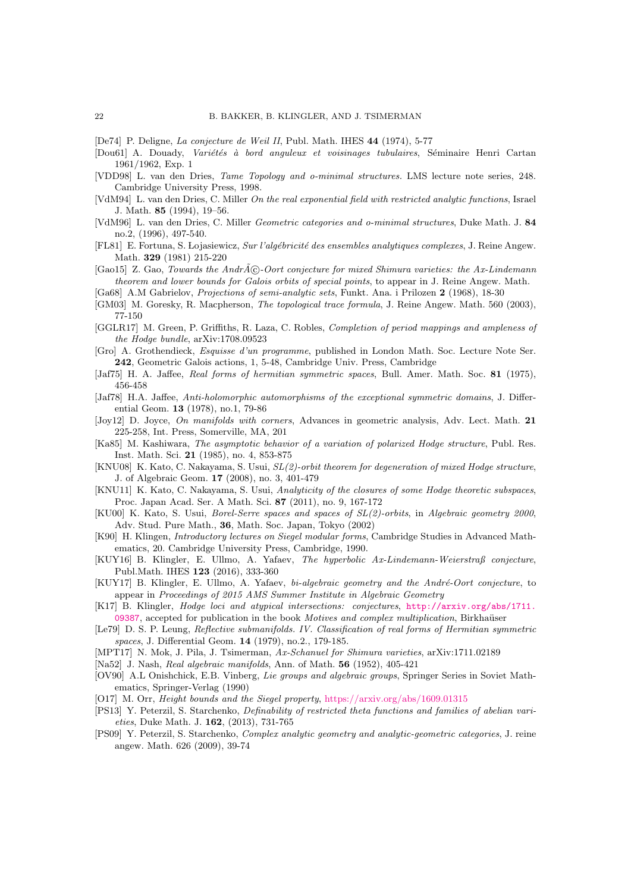- [De74] P. Deligne, La conjecture de Weil II, Publ. Math. IHES 44 (1974), 5-77
- <span id="page-21-23"></span>[Dou61] A. Douady, Variétés à bord anguleux et voisinages tubulaires, Séminaire Henri Cartan 1961/1962, Exp. 1
- <span id="page-21-17"></span>[VDD98] L. van den Dries, Tame Topology and o-minimal structures. LMS lecture note series, 248. Cambridge University Press, 1998.
- <span id="page-21-9"></span>[VdM94] L. van den Dries, C. Miller On the real exponential field with restricted analytic functions, Israel J. Math. 85 (1994), 19–56.
- <span id="page-21-25"></span>[VdM96] L. van den Dries, C. Miller Geometric categories and o-minimal structures, Duke Math. J. 84 no.2, (1996), 497-540.
- <span id="page-21-22"></span>[FL81] E. Fortuna, S. Lojasiewicz, Sur l'algébricité des ensembles analytiques complexes, J. Reine Angew. Math. 329 (1981) 215-220
- [Gao15] Z. Gao, Towards the Andr $A$ C $\cdot$ -Oort conjecture for mixed Shimura varieties: the Ax-Lindemann theorem and lower bounds for Galois orbits of special points, to appear in J. Reine Angew. Math.

<span id="page-21-8"></span>[Ga68] A.M Gabrielov, Projections of semi-analytic sets, Funkt. Ana. i Prilozen 2 (1968), 18-30

- <span id="page-21-18"></span>[GM03] M. Goresky, R. Macpherson, The topological trace formula, J. Reine Angew. Math. 560 (2003), 77-150
- <span id="page-21-12"></span>[GGLR17] M. Green, P. Griffiths, R. Laza, C. Robles, Completion of period mappings and ampleness of the Hodge bundle, arXiv:1708.09523
- <span id="page-21-3"></span>[Gro] A. Grothendieck, Esquisse d'un programme, published in London Math. Soc. Lecture Note Ser. 242, Geometric Galois actions, 1, 5-48, Cambridge Univ. Press, Cambridge
- <span id="page-21-5"></span>[Jaf75] H. A. Jaffee, Real forms of hermitian symmetric spaces, Bull. Amer. Math. Soc. 81 (1975), 456-458
- <span id="page-21-6"></span>[Jaf78] H.A. Jaffee, Anti-holomorphic automorphisms of the exceptional symmetric domains, J. Differential Geom. 13 (1978), no.1, 79-86
- <span id="page-21-24"></span>[Joy12] D. Joyce, On manifolds with corners, Advances in geometric analysis, Adv. Lect. Math. 21 225-258, Int. Press, Somerville, MA, 201
- <span id="page-21-13"></span>[Ka85] M. Kashiwara, The asymptotic behavior of a variation of polarized Hodge structure, Publ. Res. Inst. Math. Sci. 21 (1985), no. 4, 853-875
- <span id="page-21-15"></span>[KNU08] K. Kato, C. Nakayama, S. Usui, SL(2)-orbit theorem for degeneration of mixed Hodge structure, J. of Algebraic Geom. 17 (2008), no. 3, 401-479
- <span id="page-21-14"></span>[KNU11] K. Kato, C. Nakayama, S. Usui, Analyticity of the closures of some Hodge theoretic subspaces, Proc. Japan Acad. Ser. A Math. Sci. 87 (2011), no. 9, 167-172
- [KU00] K. Kato, S. Usui, Borel-Serre spaces and spaces of SL(2)-orbits, in Algebraic geometry 2000, Adv. Stud. Pure Math., 36, Math. Soc. Japan, Tokyo (2002)
- <span id="page-21-20"></span>[K90] H. Klingen, Introductory lectures on Siegel modular forms, Cambridge Studies in Advanced Mathematics, 20. Cambridge University Press, Cambridge, 1990.
- <span id="page-21-0"></span>[KUY16] B. Klingler, E. Ullmo, A. Yafaev, The hyperbolic  $Ax\text{-}Lindemann\text{-}Weierstraß conjecture,$ Publ.Math. IHES 123 (2016), 333-360
- <span id="page-21-1"></span>[KUY17] B. Klingler, E. Ullmo, A. Yafaev, bi-algebraic geometry and the André-Oort conjecture, to appear in Proceedings of 2015 AMS Summer Institute in Algebraic Geometry
- <span id="page-21-11"></span>[K17] B. Klingler, Hodge loci and atypical intersections: conjectures, [http://arxiv.org/abs/1711.](http://arxiv.org/abs/1711.09387) [09387](http://arxiv.org/abs/1711.09387), accepted for publication in the book Motives and complex multiplication, Birkhaüser
- <span id="page-21-7"></span>[Le79] D. S. P. Leung, Reflective submanifolds. IV. Classification of real forms of Hermitian symmetric spaces, J. Differential Geom. 14 (1979), no.2., 179-185.
- <span id="page-21-2"></span>[MPT17] N. Mok, J. Pila, J. Tsimerman, Ax-Schanuel for Shimura varieties, arXiv:1711.02189
- <span id="page-21-4"></span>[Na52] J. Nash, Real algebraic manifolds, Ann. of Math. 56 (1952), 405-421
- <span id="page-21-16"></span>[OV90] A.L Onishchick, E.B. Vinberg, Lie groups and algebraic groups, Springer Series in Soviet Mathematics, Springer-Verlag (1990)
- <span id="page-21-19"></span>[O17] M. Orr, Height bounds and the Siegel property, <https://arxiv.org/abs/1609.01315>
- <span id="page-21-10"></span>[PS13] Y. Peterzil, S. Starchenko, Definability of restricted theta functions and families of abelian varieties, Duke Math. J. 162, (2013), 731-765
- <span id="page-21-21"></span>[PS09] Y. Peterzil, S. Starchenko, Complex analytic geometry and analytic-geometric categories, J. reine angew. Math. 626 (2009), 39-74